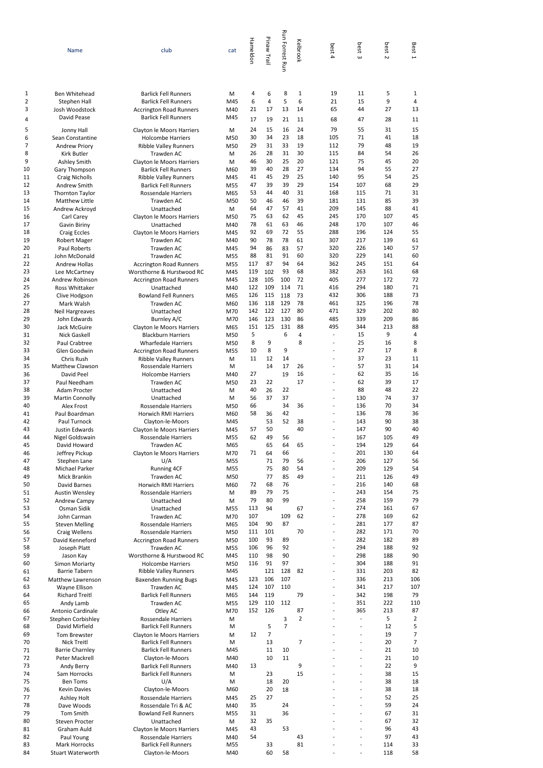|                          | Name                                          | club                                                                                         | cat               | Hameldon      | Pinaw Trail         | <b>Run Forrest Run</b> | Kelbrook      | best<br>$\overline{4}$           | best<br>$\omega$                 | best<br>$\sim$ | Best<br>$\overline{\phantom{0}}$ |
|--------------------------|-----------------------------------------------|----------------------------------------------------------------------------------------------|-------------------|---------------|---------------------|------------------------|---------------|----------------------------------|----------------------------------|----------------|----------------------------------|
| 1                        | Ben Whitehead                                 | <b>Barlick Fell Runners</b>                                                                  | M                 | 4             | 6                   | 8                      | 1             | 19                               | 11                               | 5              | 1                                |
| $\overline{2}$<br>3<br>4 | Stephen Hall<br>Josh Woodstock<br>David Pease | <b>Barlick Fell Runners</b><br><b>Accrington Road Runners</b><br><b>Barlick Fell Runners</b> | M45<br>M40<br>M45 | 6<br>21<br>17 | 4<br>17<br>19       | 5<br>13<br>21          | 6<br>14<br>11 | 21<br>65<br>68                   | 15<br>44<br>47                   | 9<br>27<br>28  | 4<br>13<br>11                    |
| 5                        | Jonny Hall                                    | Clayton le Moors Harriers                                                                    | M                 | 24            | 15                  | 16                     | 24            | 79                               | 55                               | 31             | 15                               |
| 6                        | Sean Constantine                              | <b>Holcombe Harriers</b>                                                                     | M50               | 30            | 34                  | 23                     | 18            | 105                              | 71                               | 41             | 18                               |
| $\overline{7}$           | <b>Andrew Priory</b>                          | <b>Ribble Valley Runners</b>                                                                 | M50               | 29            | 31                  | 33                     | 19            | 112                              | 79                               | 48             | 19                               |
| 8<br>9                   | Kirk Butler<br>Ashley Smith                   | Trawden AC<br>Clayton le Moors Harriers                                                      | M<br>M            | 26<br>46      | 28<br>30            | 31<br>25               | 30<br>20      | 115<br>121                       | 84<br>75                         | 54<br>45       | 26<br>20                         |
| 10                       | Gary Thompson                                 | <b>Barlick Fell Runners</b>                                                                  | M60               | 39            | 40                  | 28                     | 27            | 134                              | 94                               | 55             | 27                               |
| 11<br>12                 | <b>Craig Nicholls</b>                         | <b>Ribble Valley Runners</b>                                                                 | M45               | 41<br>47      | 45<br>39            | 29<br>39               | 25<br>29      | 140<br>154                       | 95<br>107                        | 54<br>68       | 25<br>29                         |
| 13                       | Andrew Smith<br><b>Thornton Taylor</b>        | <b>Barlick Fell Runners</b><br>Rossendale Harriers                                           | M55<br>M65        | 53            | 44                  | 40                     | 31            | 168                              | 115                              | 71             | 31                               |
| 14                       | Matthew Little                                | Trawden AC                                                                                   | M50               | 50            | 46                  | 46                     | 39            | 181                              | 131                              | 85             | 39                               |
| 15<br>16                 | Andrew Ackroyd                                | Unattached                                                                                   | M<br>M50          | 64<br>75      | 47<br>63            | 57<br>62               | 41<br>45      | 209<br>245                       | 145<br>170                       | 88<br>107      | 41<br>45                         |
| 17                       | Carl Carey<br>Gavin Biriny                    | Clayton le Moors Harriers<br>Unattached                                                      | M40               | 78            | 61                  | 63                     | 46            | 248                              | 170                              | 107            | 46                               |
| 18                       | <b>Craig Eccles</b>                           | Clayton le Moors Harriers                                                                    | M45               | 92            | 69                  | 72                     | 55            | 288                              | 196                              | 124            | 55                               |
| 19<br>20                 | <b>Robert Mager</b><br>Paul Roberts           | Trawden AC<br>Trawden AC                                                                     | M40<br>M45        | 90<br>94      | 78<br>86            | 78<br>83               | 61<br>57      | 307<br>320                       | 217<br>226                       | 139<br>140     | 61<br>57                         |
| 21                       | John McDonald                                 | Trawden AC                                                                                   | M55               | 88            | 81                  | 91                     | 60            | 320                              | 229                              | 141            | 60                               |
| 22                       | Andrew Hollas                                 | <b>Accrington Road Runners</b>                                                               | M55               | 117           | 87                  | 94                     | 64            | 362                              | 245                              | 151            | 64                               |
| 23<br>24                 | Lee McCartney<br>Andrew Robinson              | Worsthorne & Hurstwood RC                                                                    | M45               | 119<br>128    | 102<br>105          | 93<br>100              | 68<br>72      | 382<br>405                       | 263<br>277                       | 161<br>172     | 68<br>72                         |
| 25                       | Ross Whittaker                                | <b>Accrington Road Runners</b><br>Unattached                                                 | M45<br>M40        | 122           | 109                 | 114                    | 71            | 416                              | 294                              | 180            | 71                               |
| 26                       | Clive Hodgson                                 | <b>Bowland Fell Runners</b>                                                                  | M65               | 126           | 115                 | 118                    | 73            | 432                              | 306                              | 188            | 73                               |
| 27                       | Mark Walsh                                    | Trawden AC                                                                                   | M60               | 136<br>142    | 118<br>122          | 129<br>127             | 78<br>80      | 461                              | 325<br>329                       | 196<br>202     | 78<br>80                         |
| 28<br>29                 | Neil Hargreaves<br>John Edwards               | Unattached<br>Burnley A/C                                                                    | M70<br>M70        | 146           | 123                 | 130                    | 86            | 471<br>485                       | 339                              | 209            | 86                               |
| 30                       | Jack McGuire                                  | Clayton le Moors Harriers                                                                    | M65               | 151           | 125                 | 131                    | 88            | 495                              | 344                              | 213            | 88                               |
| 31                       | Nick Gaskell                                  | <b>Blackburn Harriers</b>                                                                    | M50               | 5             |                     | 6                      | 4             | $\overline{a}$                   | 15                               | 9              | 4                                |
| 32<br>33                 | Paul Crabtree<br>Glen Goodwin                 | <b>Wharfedale Harriers</b><br><b>Accrington Road Runners</b>                                 | M50<br>M55        | 8<br>10       | 9<br>8              | 9                      | 8             | $\overline{a}$<br>$\overline{a}$ | 25<br>27                         | 16<br>17       | 8<br>8                           |
| 34                       | Chris Rush                                    | <b>Ribble Valley Runners</b>                                                                 | M                 | 11            | 12                  | 14                     |               | $\overline{a}$                   | 37                               | 23             | 11                               |
| 35                       | Matthew Clawson                               | Rossendale Harriers                                                                          | M                 |               | 14                  | 17                     | 26            |                                  | 57                               | 31             | 14                               |
| 36<br>37                 | David Peel<br>Paul Needham                    | <b>Holcombe Harriers</b><br><b>Trawden AC</b>                                                | M40<br>M50        | 27<br>23      | 22                  | 19                     | 16<br>17      | ÷<br>$\overline{a}$              | 62<br>62                         | 35<br>39       | 16<br>17                         |
| 38                       | Adam Procter                                  | Unattached                                                                                   | M                 | 40            | 26                  | 22                     |               | $\overline{a}$                   | 88                               | 48             | 22                               |
| 39                       | <b>Martin Connolly</b>                        | Unattached                                                                                   | M                 | 56            | 37                  | 37                     |               |                                  | 130                              | 74             | 37                               |
| 40<br>41                 | <b>Alex Frost</b><br>Paul Boardman            | Rossendale Harriers<br>Horwich RMI Harriers                                                  | M50<br>M60        | 66<br>58      | 36                  | 34<br>42               | 36            | $\overline{a}$                   | 136<br>136                       | 70<br>78       | 34<br>36                         |
| 42                       | Paul Turnock                                  | Clayton-le-Moors                                                                             | M45               |               | 53                  | 52                     | 38            |                                  | 143                              | 90             | 38                               |
| 43                       | Justin Edwards                                | Clayton le Moors Harriers                                                                    | M45               | 57            | 50                  |                        | 40            | L,                               | 147                              | 90             | 40                               |
| 44<br>45                 | Nigel Goldswain<br>David Howard               | Rossendale Harriers<br>Trawden AC                                                            | M55<br>M65        | 62            | 49<br>65            | 56<br>64               | 65            | L,                               | 167<br>194                       | 105<br>129     | 49<br>64                         |
| 46                       | Jeffrey Pickup                                | Clayton le Moors Harriers                                                                    | M70               | 71            | 64                  | 66                     |               |                                  | 201                              | 130            | 64                               |
| 47                       | Stephen Lane                                  | U/A                                                                                          | M55               |               | 71                  | 79                     | 56            | ÷                                | 206                              | 127            | 56                               |
| 48<br>49                 | Michael Parker<br><b>Mick Brankin</b>         | <b>Running 4CF</b><br>Trawden AC                                                             | M55<br>M50        |               | 75<br>77            | 80<br>85               | 54<br>49      | L,<br>$\overline{a}$             | 209<br>211                       | 129<br>126     | 54<br>49                         |
| 50                       | David Barnes                                  | <b>Horwich RMI Harriers</b>                                                                  | M60               | 72            | 68                  | 76                     |               | ÷                                | 216                              | 140            | 68                               |
| 51                       | <b>Austin Wensley</b>                         | Rossendale Harriers                                                                          | М                 | 89            | 79                  | 75                     |               | ۰                                | 243                              | 154            | 75                               |
| 52<br>53                 | Andrew Campy<br>Osman Sidik                   | Unattached<br>Unattached                                                                     | M<br>M55          | 79<br>113     | 80<br>94            | 99                     | 67            | ÷                                | 258<br>274                       | 159<br>161     | 79<br>67                         |
| 54                       | John Carman                                   | <b>Trawden AC</b>                                                                            | M70               | 107           |                     | 109                    | 62            | $\overline{a}$                   | 278                              | 169            | 62                               |
| 55                       | <b>Steven Melling</b>                         | Rossendale Harriers                                                                          | M65               | 104           | 90                  | 87                     |               | ÷<br>L,                          | 281                              | 177            | 87                               |
| 56<br>57                 | Craig Wellens<br>David Kenneford              | Rossendale Harriers<br><b>Accrington Road Runners</b>                                        | M50<br>M50        | 111<br>100    | 101<br>93           | 89                     | 70            | $\overline{a}$                   | 282<br>282                       | 171<br>182     | 70<br>89                         |
| 58                       | Joseph Platt                                  | Trawden AC                                                                                   | M55               | 106           | 96                  | 92                     |               | $\overline{a}$                   | 294                              | 188            | 92                               |
| 59                       | Jason Kay                                     | Worsthorne & Hurstwood RC                                                                    | M45               | 110           | 98                  | 90                     |               | ۰                                | 298                              | 188            | 90                               |
| 60<br>61                 | <b>Simon Moriarty</b><br><b>Barrie Tabern</b> | <b>Holcombe Harriers</b><br>Ribble Valley Runners                                            | M50<br>M45        | 116           | 91<br>121           | 97<br>128              | 82            | $\overline{a}$                   | 304<br>331                       | 188<br>203     | 91<br>82                         |
| 62                       | Matthew Lawrenson                             | Baxenden Running Bugs                                                                        | M45               | 123           | 106                 | 107                    |               | $\overline{a}$                   | 336                              | 213            | 106                              |
| 63                       | Wayne Ellison                                 | Trawden AC                                                                                   | M45               | 124           | 107                 | 110                    |               | ۰<br>L,                          | 341                              | 217            | 107                              |
| 64<br>65                 | <b>Richard Treitl</b><br>Andy Lamb            | <b>Barlick Fell Runners</b><br>Trawden AC                                                    | M65<br>M55        | 144<br>129    | 119<br>110          | 112                    | 79            |                                  | 342<br>351                       | 198<br>222     | 79<br>110                        |
| 66                       | Antonio Cardinale                             | Otley AC                                                                                     | M70               | 152           | 126                 |                        | 87            | ÷                                | 365                              | 213            | 87                               |
| 67                       | Stephen Corbishley                            | Rossendale Harriers                                                                          | M                 |               |                     | 3                      | 2             |                                  | $\overline{a}$                   | 5              | 2                                |
| 68<br>69                 | David Mirfield<br>Tom Brewster                | <b>Barlick Fell Runners</b><br>Clayton le Moors Harriers                                     | М<br>M            | 12            | 5<br>$\overline{7}$ | $\overline{7}$         |               |                                  | $\overline{a}$<br>$\overline{a}$ | 12<br>19       | 5<br>7                           |
| 70                       | Nick Treitl                                   | <b>Barlick Fell Runners</b>                                                                  | M                 |               | 13                  |                        | 7             |                                  | $\overline{a}$                   | 20             | $\overline{7}$                   |
| 71                       | <b>Barrie Charnley</b>                        | <b>Barlick Fell Runners</b>                                                                  | M45               |               | 11                  | 10                     |               |                                  | $\overline{a}$                   | 21             | 10                               |
| 72<br>73                 | Peter Mackrell<br>Andy Berry                  | Clayton-le-Moors<br><b>Barlick Fell Runners</b>                                              | M40<br>M40        | 13            | 10                  | 11                     | 9             |                                  | $\overline{a}$<br>$\overline{a}$ | 21<br>22       | 10<br>9                          |
| 74                       | Sam Horrocks                                  | <b>Barlick Fell Runners</b>                                                                  | М                 |               | 23                  |                        | 15            |                                  | $\overline{a}$                   | 38             | 15                               |
| 75                       | <b>Ben Toms</b>                               | U/A                                                                                          | M                 |               | 18                  | 20                     |               |                                  | $\overline{a}$                   | 38             | 18                               |
| 76<br>77                 | Kevin Davies<br>Ashley Holt                   | Clayton-le-Moors<br>Rossendale Harriers                                                      | M60<br>M45        | 25            | 20<br>27            | 18                     |               |                                  | $\overline{a}$<br>$\overline{a}$ | 38<br>52       | 18<br>25                         |
| 78                       | Dave Woods                                    | Rossendale Tri & AC                                                                          | M40               | 35            |                     | 24                     |               |                                  | $\overline{a}$                   | 59             | 24                               |
| 79                       | <b>Tom Smith</b>                              | <b>Bowland Fell Runners</b>                                                                  | M55               | 31            |                     | 36                     |               |                                  | $\overline{a}$                   | 67             | 31                               |
| 80<br>81                 | <b>Steven Procter</b><br>Graham Auld          | Unattached<br>Clayton le Moors Harriers                                                      | М<br>M45          | 32<br>43      | 35                  | 53                     |               |                                  | $\overline{a}$<br>$\overline{a}$ | 67<br>96       | 32<br>43                         |
| 82                       | Paul Young                                    | Rossendale Harriers                                                                          | M40               | 54            |                     |                        | 43            |                                  | $\overline{a}$                   | 97             | 43                               |
| 83                       | <b>Mark Horrocks</b>                          | <b>Barlick Fell Runners</b>                                                                  | M55               |               | 33                  |                        | 81            |                                  | $\overline{a}$                   | 114            | 33                               |
| 84                       | Stuart Waterworth                             | Clayton-le-Moors                                                                             | M40               |               | 60                  | 58                     |               | ۰                                | $\overline{\phantom{a}}$         | 118            | 58                               |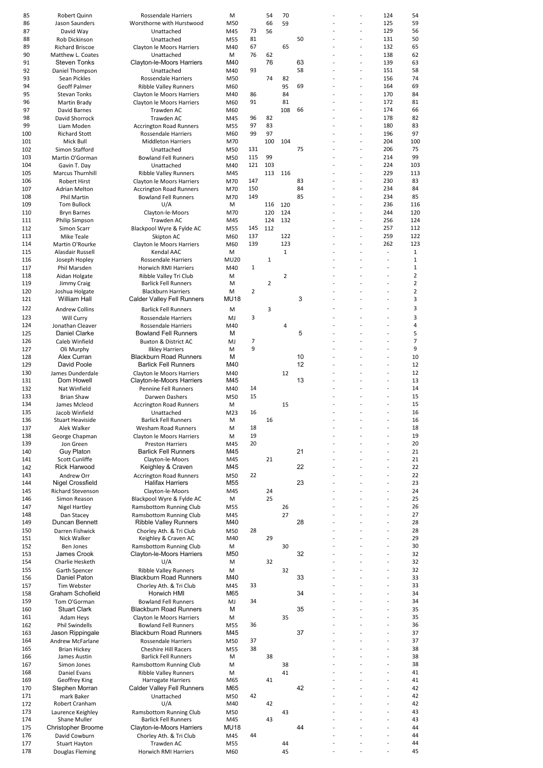| 85  | Robert Quinn              | Rossendale Harriers            | M               |     | 54             | 70           |    |                |                | 124                      | 54             |
|-----|---------------------------|--------------------------------|-----------------|-----|----------------|--------------|----|----------------|----------------|--------------------------|----------------|
|     |                           |                                |                 |     |                |              |    |                |                |                          |                |
| 86  | Jason Saunders            | Worsthorne with Hurstwood      | M50             |     | 66             | 59           |    |                | $\overline{a}$ | 125                      | 59             |
| 87  | David Way                 | Unattached                     | M45             | 73  | 56             |              |    |                | Ĭ.             | 129                      | 56             |
| 88  | Rob Dickinson             | Unattached                     | M55             | 81  |                |              | 50 |                |                | 131                      | 50             |
| 89  | <b>Richard Briscoe</b>    | Clayton le Moors Harriers      | M40             | 67  |                | 65           |    |                | $\overline{a}$ | 132                      | 65             |
| 90  | Matthew L. Coates         | Unattached                     | М               | 76  | 62             |              |    |                |                | 138                      | 62             |
| 91  | <b>Steven Tonks</b>       | Clayton-le-Moors Harriers      | M40             |     | 76             |              | 63 |                | $\overline{a}$ | 139                      | 63             |
| 92  | Daniel Thompson           | Unattached                     | M40             | 93  |                |              | 58 |                |                | 151                      | 58             |
|     |                           |                                |                 |     |                |              |    |                |                |                          |                |
| 93  | Sean Pickles              | Rossendale Harriers            | M50             |     | 74             | 82           |    |                | $\overline{a}$ | 156                      | 74             |
| 94  | <b>Geoff Palmer</b>       | <b>Ribble Valley Runners</b>   | M60             |     |                | 95           | 69 |                | $\overline{a}$ | 164                      | 69             |
| 95  | <b>Stevan Tonks</b>       | Clayton le Moors Harriers      | M40             | 86  |                | 84           |    |                |                | 170                      | 84             |
| 96  | Martin Brady              | Clayton le Moors Harriers      | M60             | 91  |                | 81           |    |                | $\overline{a}$ | 172                      | 81             |
| 97  | David Barnes              | Trawden AC                     |                 |     |                | 108          | 66 |                | $\overline{a}$ | 174                      | 66             |
|     |                           |                                | M60             |     |                |              |    |                |                |                          |                |
| 98  | David Shorrock            | Trawden AC                     | M45             | 96  | 82             |              |    |                | $\overline{a}$ | 178                      | 82             |
| 99  | Liam Moden                | <b>Accrington Road Runners</b> | M55             | 97  | 83             |              |    |                |                | 180                      | 83             |
| 100 | <b>Richard Stott</b>      | Rossendale Harriers            | M60             | 99  | 97             |              |    |                | $\overline{a}$ | 196                      | 97             |
| 101 | Mick Bull                 | <b>Middleton Harriers</b>      | M70             |     | 100            | 104          |    |                |                | 204                      | 100            |
| 102 | Simon Stafford            | Unattached                     | M50             | 131 |                |              | 75 |                | $\overline{a}$ | 206                      | 75             |
|     |                           |                                |                 |     |                |              |    |                | $\overline{a}$ |                          |                |
| 103 | Martin O'Gorman           | <b>Bowland Fell Runners</b>    | M50             | 115 | 99             |              |    |                |                | 214                      | 99             |
| 104 | Gavin T. Day              | Unattached                     | M40             | 121 | 103            |              |    |                |                | 224                      | 103            |
| 105 | <b>Marcus Thurnhill</b>   | <b>Ribble Valley Runners</b>   | M45             |     | 113            | 116          |    |                | $\overline{a}$ | 229                      | 113            |
| 106 | <b>Robert Hirst</b>       | Clayton le Moors Harriers      | M70             | 147 |                |              | 83 |                | $\overline{a}$ | 230                      | 83             |
| 107 | Adrian Melton             | <b>Accrington Road Runners</b> | M70             | 150 |                |              | 84 |                | $\overline{a}$ | 234                      | 84             |
| 108 | <b>Phil Martin</b>        | <b>Bowland Fell Runners</b>    | M70             | 149 |                |              | 85 |                |                | 234                      | 85             |
|     |                           |                                |                 |     |                |              |    |                | $\overline{a}$ | 236                      |                |
| 109 | <b>Tom Bullock</b>        | U/A                            | М               |     | 116            | 120          |    |                |                |                          | 116            |
| 110 | <b>Bryn Barnes</b>        | Clayton-le-Moors               | M70             |     | 120            | 124          |    |                | $\overline{a}$ | 244                      | 120            |
| 111 | <b>Philip Simpson</b>     | Trawden AC                     | M45             |     | 124            | 132          |    |                | $\overline{a}$ | 256                      | 124            |
| 112 | Simon Scarr               | Blackpool Wyre & Fylde AC      | M55             | 145 | 112            |              |    |                | Ĭ.             | 257                      | 112            |
| 113 | <b>Mike Teale</b>         | Skipton AC                     | M60             | 137 |                | 122          |    |                |                | 259                      | 122            |
|     |                           |                                |                 | 139 |                | 123          |    | $\overline{a}$ | $\overline{a}$ | 262                      | 123            |
| 114 | Martin O'Rourke           | Clayton le Moors Harriers      | M60             |     |                |              |    |                |                |                          |                |
| 115 | Alasdair Russell          | <b>Kendal AAC</b>              | M               |     |                | $\mathbf{1}$ |    |                |                | $\sim$                   | 1              |
| 116 | Joseph Hopley             | <b>Rossendale Harriers</b>     | <b>MU20</b>     |     | $\mathbf{1}$   |              |    |                |                | $\sim$                   | 1              |
| 117 | Phil Marsden              | Horwich RMI Harriers           | M40             | 1   |                |              |    |                |                |                          | $1\,$          |
| 118 | Aidan Holgate             | Ribble Valley Tri Club         | M               |     |                | 2            |    |                |                |                          | $\overline{2}$ |
| 119 |                           |                                |                 |     | $\overline{2}$ |              |    |                |                | $\overline{\phantom{a}}$ | $\overline{2}$ |
|     | Jimmy Craig               | <b>Barlick Fell Runners</b>    | M               |     |                |              |    |                |                |                          |                |
| 120 | Joshua Holgate            | <b>Blackburn Harriers</b>      | M               | 2   |                |              |    |                |                | $\overline{a}$           | 2              |
| 121 | William Hall              | Calder Valley Fell Runners     | MU18            |     |                |              | 3  |                |                | L,                       | 3              |
| 122 | <b>Andrew Collins</b>     | <b>Barlick Fell Runners</b>    | M               |     | 3              |              |    |                |                |                          | 3              |
|     |                           |                                |                 |     |                |              |    |                |                |                          |                |
| 123 | Will Curry                | <b>Rossendale Harriers</b>     | MJ              | 3   |                |              |    |                |                | $\overline{\phantom{a}}$ | 3              |
| 124 | Jonathan Cleaver          | Rossendale Harriers            | M40             |     |                | 4            |    |                |                | $\overline{\phantom{a}}$ | $\overline{4}$ |
| 125 | Daniel Clarke             | <b>Bowland Fell Runners</b>    | м               |     |                |              | 5  |                |                |                          | 5              |
| 126 | Caleb Winfield            | Buxton & District AC           | MJ              | 7   |                |              |    |                |                |                          | $\overline{7}$ |
| 127 | Oli Murphy                | <b>Ilkley Harriers</b>         | M               | 9   |                |              |    |                |                | $\overline{\phantom{a}}$ | 9              |
|     |                           |                                |                 |     |                |              |    |                |                | $\overline{a}$           |                |
| 128 | Alex Curran               | <b>Blackburn Road Runners</b>  | M               |     |                |              | 10 |                |                |                          | 10             |
| 129 | David Poole               | <b>Barlick Fell Runners</b>    | M40             |     |                |              | 12 |                |                | J.                       | 12             |
| 130 | James Dunderdale          | Clayton le Moors Harriers      | M40             |     |                | 12           |    |                |                | ÷                        | 12             |
| 131 | Dom Howell                | Clayton-le-Moors Harriers      | M45             |     |                |              | 13 |                |                | $\overline{\phantom{a}}$ | 13             |
| 132 | Nat Winfield              | <b>Pennine Fell Runners</b>    | M40             | 14  |                |              |    |                |                | $\overline{a}$           | 14             |
| 133 | <b>Brian Shaw</b>         | Darwen Dashers                 | M50             | 15  |                |              |    |                |                | J.                       | 15             |
|     |                           |                                |                 |     |                |              |    |                |                |                          |                |
| 134 | James Mcleod              | <b>Accrington Road Runners</b> | M               |     |                | 15           |    |                |                |                          | 15             |
| 135 | Jacob Winfield            | Unattached                     | M <sub>23</sub> | 16  |                |              |    |                |                | ÷,                       | 16             |
| 136 | <b>Stuart Heaviside</b>   | <b>Barlick Fell Runners</b>    | M               |     | 16             |              |    |                |                |                          | 16             |
| 137 | Alek Walker               | Wesham Road Runners            | M               | 18  |                |              |    |                |                |                          | 18             |
| 138 | George Chapman            | Clayton le Moors Harriers      | M               | 19  |                |              |    |                |                | ÷,                       | 19             |
|     |                           |                                |                 |     |                |              |    |                |                |                          |                |
| 139 | Jon Green                 | <b>Preston Harriers</b>        | M45             | 20  |                |              |    |                |                | $\overline{a}$           | 20             |
| 140 | <b>Guy Platon</b>         | <b>Barlick Fell Runners</b>    | M45             |     |                |              | 21 |                |                | $\overline{\phantom{a}}$ | 21             |
| 141 | <b>Scott Cunliffe</b>     | Clayton-le-Moors               | M45             |     | 21             |              |    |                |                |                          | 21             |
| 142 | <b>Rick Harwood</b>       | Keighley & Craven              | M45             |     |                |              | 22 |                |                | ÷                        | 22             |
| 143 | Andrew Orr                | <b>Accrington Road Runners</b> | M50             | 22  |                |              |    |                |                | $\overline{a}$           | 22             |
|     |                           |                                |                 |     |                |              |    |                |                |                          |                |
| 144 | Nigel Crossfield          | <b>Halifax Harriers</b>        | M55             |     |                |              | 23 |                |                | J.                       | 23             |
| 145 | <b>Richard Stevenson</b>  | Clayton-le-Moors               | M45             |     | 24             |              |    |                |                | $\overline{a}$           | 24             |
| 146 | Simon Reason              | Blackpool Wyre & Fylde AC      | М               |     | 25             |              |    |                |                | L,                       | 25             |
| 147 | <b>Nigel Hartley</b>      | <b>Ramsbottom Running Club</b> | M55             |     |                | 26           |    |                |                | $\overline{a}$           | 26             |
| 148 | Dan Stacey                | Ramsbottom Running Club        | M45             |     |                | 27           |    |                |                | $\overline{a}$           | 27             |
|     | Duncan Bennett            |                                |                 |     |                |              | 28 |                |                | $\overline{\phantom{a}}$ |                |
| 149 |                           | <b>Ribble Valley Runners</b>   | M40             |     |                |              |    |                |                |                          | 28             |
| 150 | Darren Fishwick           | Chorley Ath. & Tri Club        | M50             | 28  |                |              |    |                |                |                          | 28             |
| 151 | Nick Walker               | Keighley & Craven AC           | M40             |     | 29             |              |    |                |                | ÷                        | 29             |
| 152 | <b>Ben Jones</b>          | Ramsbottom Running Club        | M               |     |                | 30           |    |                |                | $\overline{a}$           | 30             |
| 153 | James Crook               | Clayton-le-Moors Harriers      | M50             |     |                |              | 32 |                |                | $\overline{a}$           | 32             |
| 154 | Charlie Hesketh           | U/A                            | M               |     | 32             |              |    |                |                | J.                       | 32             |
|     |                           |                                |                 |     |                |              |    |                |                |                          |                |
| 155 | Garth Spencer             | <b>Ribble Valley Runners</b>   | M               |     |                | 32           |    |                |                |                          | 32             |
| 156 | Daniel Paton              | <b>Blackburn Road Runners</b>  | M40             |     |                |              | 33 |                |                | $\overline{\phantom{a}}$ | 33             |
| 157 | Tim Webster               | Chorley Ath. & Tri Club        | M45             | 33  |                |              |    |                |                | $\overline{a}$           | 33             |
| 158 | Graham Schofield          | Horwich HMI                    | M65             |     |                |              | 34 |                |                | J.                       | 34             |
| 159 | Tom O'Gorman              | <b>Bowland Fell Runners</b>    | MJ              | 34  |                |              |    |                |                |                          | 34             |
|     | <b>Stuart Clark</b>       | <b>Blackburn Road Runners</b>  | М               |     |                |              | 35 |                |                | $\overline{a}$           | 35             |
| 160 |                           |                                |                 |     |                |              |    |                |                |                          |                |
| 161 | Adam Heys                 | Clayton le Moors Harriers      | M               |     |                | 35           |    |                |                | $\overline{a}$           | 35             |
| 162 | <b>Phil Swindells</b>     | <b>Bowland Fell Runners</b>    | M55             | 36  |                |              |    |                |                | L,                       | 36             |
| 163 | Jason Rippingale          | <b>Blackburn Road Runners</b>  | M45             |     |                |              | 37 |                |                | $\overline{a}$           | 37             |
| 164 | Andrew McFarlane          | Rossendale Harriers            | M50             | 37  |                |              |    |                |                | $\overline{a}$           | 37             |
| 165 | <b>Brian Hickey</b>       | <b>Cheshire Hill Racers</b>    | M55             | 38  |                |              |    |                |                | $\overline{\phantom{a}}$ | 38             |
|     |                           |                                |                 |     |                |              |    |                |                | $\overline{a}$           |                |
| 166 | James Austin              | <b>Barlick Fell Runners</b>    | M               |     | 38             |              |    |                |                |                          | 38             |
| 167 | Simon Jones               | Ramsbottom Running Club        | M               |     |                | 38           |    |                |                | ÷,                       | 38             |
| 168 | Daniel Evans              | <b>Ribble Valley Runners</b>   | M               |     |                | 41           |    |                |                | ÷                        | 41             |
| 169 | Geoffrey King             | <b>Harrogate Harriers</b>      | M65             |     | 41             |              |    |                |                | ÷,                       | 41             |
| 170 | Stephen Morran            | Calder Valley Fell Runners     | M65             |     |                |              | 42 |                |                | $\overline{a}$           | 42             |
|     |                           |                                |                 |     |                |              |    |                |                | Ĭ.                       |                |
| 171 | mark Baker                | Unattached                     | M50             | 42  |                |              |    |                |                |                          | 42             |
| 172 | Robert Cranham            | U/A                            | M40             |     | 42             |              |    |                |                | $\overline{a}$           | 42             |
| 173 | Laurence Keighley         | Ramsbottom Running Club        | M50             |     |                | 43           |    |                |                | $\overline{a}$           | 43             |
| 174 | Shane Muller              | <b>Barlick Fell Runners</b>    | M45             |     | 43             |              |    |                |                | $\overline{\phantom{a}}$ | 43             |
| 175 | <b>Christopher Broome</b> | Clayton-le-Moors Harriers      | MU18            |     |                |              | 44 |                |                |                          | 44             |
| 176 | David Cowburn             | Chorley Ath. & Tri Club        | M45             | 44  |                |              |    |                |                | $\overline{a}$           | 44             |
|     |                           |                                |                 |     |                |              |    |                |                | $\overline{a}$           |                |
| 177 | <b>Stuart Hayton</b>      | Trawden AC                     | M55             |     |                | 44           |    |                |                |                          | 44             |
| 178 | Douglas Fleming           | <b>Horwich RMI Harriers</b>    | M60             |     |                | 45           |    |                |                |                          | 45             |
|     |                           |                                |                 |     |                |              |    |                |                |                          |                |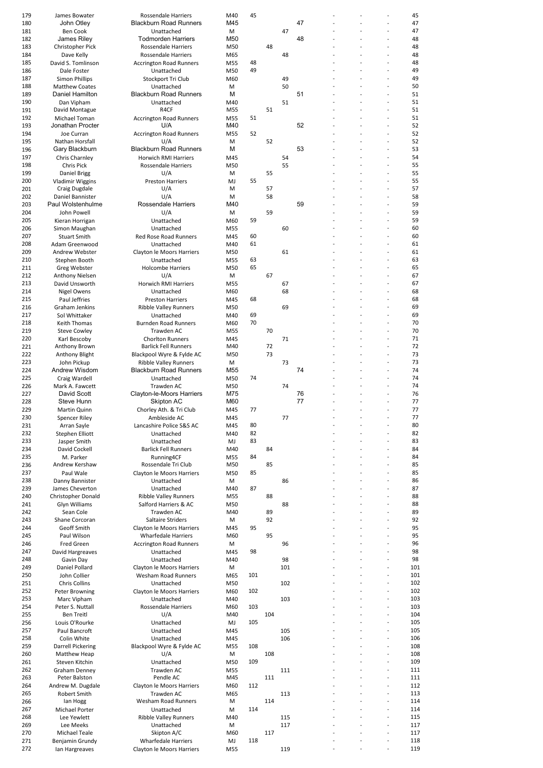| 179<br>45<br>James Bowater<br>Rossendale Harriers<br>M40<br><b>Blackburn Road Runners</b><br>47<br>180<br>John Otley<br>M45<br>181<br><b>Ben Cook</b><br>Unattached<br>47<br>M<br>182<br>James Riley<br><b>Todmorden Harriers</b><br>M50<br>48<br>183<br>Christopher Pick<br><b>Rossendale Harriers</b><br>48<br>M50<br>184<br>Dave Kelly<br><b>Rossendale Harriers</b><br>M65<br>48<br>185<br>David S. Tomlinson<br>M55<br>48<br><b>Accrington Road Runners</b><br>49<br>186<br>Unattached<br>M50<br>Dale Foster<br>187<br><b>Simon Phillips</b><br>Stockport Tri Club<br>M60<br>49<br>188<br><b>Matthew Coates</b><br>Unattached<br>50<br>M<br>51<br>Daniel Hamilton<br><b>Blackburn Road Runners</b><br>м<br>189<br>190<br>Dan Vipham<br>Unattached<br>51<br>M40<br>R4CF<br>51<br>191<br>David Montague<br>M55<br>192<br>Michael Toman<br><b>Accrington Road Runners</b><br>M55<br>51<br>Jonathan Procter<br>U/A<br>52<br>193<br>M40<br>194<br>52<br><b>Accrington Road Runners</b><br>M55<br>Joe Curran<br>195<br>Nathan Horsfall<br>52<br>U/A<br>M<br>M<br>53<br>Gary Blackburn<br><b>Blackburn Road Runners</b><br>196<br>197<br>Chris Charnley<br><b>Horwich RMI Harriers</b><br>M45<br>54<br>198<br>Chris Pick<br>Rossendale Harriers<br>M50<br>55<br>199<br>U/A<br>55<br>Daniel Brigg<br>M<br>200<br><b>Vladimir Wiggins</b><br><b>Preston Harriers</b><br>MJ<br>55<br>201<br>U/A<br>57<br>Craig Dugdale<br>M<br>202<br>U/A<br>58<br>Daniel Bannister<br>M<br>59<br>203<br>Paul Wolstenhulme<br>Rossendale Harriers<br>M40<br>John Powell<br>U/A<br>59<br>204<br>M<br>Unattached<br>59<br>205<br>Kieran Horrigan<br>M60<br>206<br>Simon Maughan<br>Unattached<br>M55<br>60<br>60<br>207<br><b>Red Rose Road Runners</b><br><b>Stuart Smith</b><br>M45<br>208<br>61<br>Adam Greenwood<br>Unattached<br>M40<br>209<br>Andrew Webster<br>Clayton le Moors Harriers<br>M50<br>61<br>210<br>63<br>Stephen Booth<br>Unattached<br>M55<br>65<br>211<br><b>Holcombe Harriers</b><br>M50<br>Greg Webster<br>212<br>U/A<br>67<br>Anthony Nielsen<br>М<br>213<br>David Unsworth<br>Horwich RMI Harriers<br>M55<br>67<br>214<br>Nigel Owens<br>Unattached<br>M60<br>68<br>215<br>Paul Jeffries<br>68<br><b>Preston Harriers</b><br>M45<br>216<br>Graham Jenkins<br><b>Ribble Valley Runners</b><br>M50<br>69<br>217<br>Sol Whittaker<br>Unattached<br>M40<br>69<br>218<br>70<br>Keith Thomas<br><b>Burnden Road Runners</b><br>M60<br>219<br>Trawden AC<br>M55<br>70<br><b>Steve Cowley</b><br>220<br>Karl Bescoby<br><b>Chorlton Runners</b><br>71<br>M45<br>221<br>Anthony Brown<br><b>Barlick Fell Runners</b><br>M40<br>72<br>73<br>Blackpool Wyre & Fylde AC<br>M50<br>222<br>Anthony Blight<br>223<br>John Pickup<br><b>Ribble Valley Runners</b><br>M<br>73<br>74<br>224<br>Andrew Wisdom<br><b>Blackburn Road Runners</b><br>M55<br>74<br>225<br>Craig Wardell<br>Unattached<br>M50<br>74<br>226<br>Mark A. Fawcett<br>Trawden AC<br>M50<br>David Scott<br>Clayton-le-Moors Harriers<br>M75<br>76<br>227<br>77<br>Steve Hunn<br>Skipton AC<br>M60<br>228<br>77<br>229<br>Martin Quinn<br>Chorley Ath. & Tri Club<br>M45<br>230<br>Spencer Riley<br>M45<br>Ambleside AC<br>77<br>80<br>231<br>Arran Sayle<br>Lancashire Police S&S AC<br>M45<br>232<br>82<br><b>Stephen Elliott</b><br>Unattached<br>M40<br>233<br>Jasper Smith<br>Unattached<br>83<br>MJ<br>84<br>234<br>David Cockell<br><b>Barlick Fell Runners</b><br>M40<br>235<br>84<br>M. Parker<br>Running4CF<br>M55<br>236<br>Rossendale Tri Club<br>85<br>Andrew Kershaw<br>M50<br>237<br>Paul Wale<br>Clayton le Moors Harriers<br>85<br>M50<br>238<br>Danny Bannister<br>Unattached<br>М<br>86<br>239<br>James Cheverton<br>87<br>Unattached<br>M40<br>240<br><b>Christopher Donald</b><br><b>Ribble Valley Runners</b><br>M55<br>88<br>241<br>Glyn Williams<br>Salford Harriers & AC<br>M50<br>88<br>242<br>Sean Cole<br>Trawden AC<br>M40<br>89<br>Saltaire Striders<br>92<br>243<br>Shane Corcoran<br>М<br>244<br>95<br>Geoff Smith<br>Clayton le Moors Harriers<br>M45<br>Paul Wilson<br><b>Wharfedale Harriers</b><br>95<br>245<br>M60<br><b>Fred Green</b><br><b>Accrington Road Runners</b><br>246<br>М<br>96<br>98<br>247<br>David Hargreaves<br>Unattached<br>M45<br>248<br>Unattached<br>98<br>Gavin Day<br>M40<br>249<br>Daniel Pollard<br>Clayton le Moors Harriers<br>М<br>101<br>101<br>250<br>John Collier<br>Wesham Road Runners<br>M65<br>251<br><b>Chris Collins</b><br>Unattached<br>102<br>M50<br>102<br>252<br>Clayton le Moors Harriers<br>Peter Browning<br>M60<br>253<br>Marc Vipham<br>Unattached<br>M40<br>103<br>254<br>Peter S. Nuttall<br>Rossendale Harriers<br>103<br>M60<br>104<br>255<br><b>Ben Treitl</b><br>U/A<br>M40<br>256<br>Louis O'Rourke<br>Unattached<br>105<br>MJ<br>257<br>Paul Bancroft<br>105<br>Unattached<br>M45<br>258<br>Colin White<br>Unattached<br>M45<br>106<br>259<br>Darrell Pickering<br>Blackpool Wyre & Fylde AC<br>108<br>M55<br>260<br>Matthew Heap<br>U/A<br>М<br>108<br>261<br>Steven Kitchin<br>Unattached<br>109<br>M50<br>262<br>Graham Denney<br>Trawden AC<br>M55<br>111<br>Pendle AC<br>263<br>Peter Balston<br>M45<br>111<br>264<br>Andrew M. Dugdale<br>Clayton le Moors Harriers<br>112<br>M60<br>265<br><b>Robert Smith</b><br>Trawden AC<br>M65<br>113<br>Wesham Road Runners<br>114<br>266<br>lan Hogg<br>M<br>Michael Porter<br>Unattached<br>114<br>267<br>М<br>268<br>Lee Yewlett<br><b>Ribble Valley Runners</b><br>M40<br>115<br>269<br>Unattached<br>Lee Meeks<br>М<br>117<br>Skipton A/C<br>270<br>Michael Teale<br>M60<br>117<br>118<br>271<br>Benjamin Grundy<br><b>Wharfedale Harriers</b><br>MJ |     |                |                           |     |  |     |  |                |          |
|--------------------------------------------------------------------------------------------------------------------------------------------------------------------------------------------------------------------------------------------------------------------------------------------------------------------------------------------------------------------------------------------------------------------------------------------------------------------------------------------------------------------------------------------------------------------------------------------------------------------------------------------------------------------------------------------------------------------------------------------------------------------------------------------------------------------------------------------------------------------------------------------------------------------------------------------------------------------------------------------------------------------------------------------------------------------------------------------------------------------------------------------------------------------------------------------------------------------------------------------------------------------------------------------------------------------------------------------------------------------------------------------------------------------------------------------------------------------------------------------------------------------------------------------------------------------------------------------------------------------------------------------------------------------------------------------------------------------------------------------------------------------------------------------------------------------------------------------------------------------------------------------------------------------------------------------------------------------------------------------------------------------------------------------------------------------------------------------------------------------------------------------------------------------------------------------------------------------------------------------------------------------------------------------------------------------------------------------------------------------------------------------------------------------------------------------------------------------------------------------------------------------------------------------------------------------------------------------------------------------------------------------------------------------------------------------------------------------------------------------------------------------------------------------------------------------------------------------------------------------------------------------------------------------------------------------------------------------------------------------------------------------------------------------------------------------------------------------------------------------------------------------------------------------------------------------------------------------------------------------------------------------------------------------------------------------------------------------------------------------------------------------------------------------------------------------------------------------------------------------------------------------------------------------------------------------------------------------------------------------------------------------------------------------------------------------------------------------------------------------------------------------------------------------------------------------------------------------------------------------------------------------------------------------------------------------------------------------------------------------------------------------------------------------------------------------------------------------------------------------------------------------------------------------------------------------------------------------------------------------------------------------------------------------------------------------------------------------------------------------------------------------------------------------------------------------------------------------------------------------------------------------------------------------------------------------------------------------------------------------------------------------------------------------------------------------------------------------------------------------------------------------------------------------------------------------------------------------------------------------------------------------------------------------------------------------------------------------------------------------------------------------------------------------------------------------------------------------------------------------------------------------------------------------------------------------------------------------------------------------------------------------------------------------------------------------------------------------------------------------------------------------------------------------------------------------------------------------------------------------------------------------------------------------------------------------------------------------------------------------------------------------------------|-----|----------------|---------------------------|-----|--|-----|--|----------------|----------|
|                                                                                                                                                                                                                                                                                                                                                                                                                                                                                                                                                                                                                                                                                                                                                                                                                                                                                                                                                                                                                                                                                                                                                                                                                                                                                                                                                                                                                                                                                                                                                                                                                                                                                                                                                                                                                                                                                                                                                                                                                                                                                                                                                                                                                                                                                                                                                                                                                                                                                                                                                                                                                                                                                                                                                                                                                                                                                                                                                                                                                                                                                                                                                                                                                                                                                                                                                                                                                                                                                                                                                                                                                                                                                                                                                                                                                                                                                                                                                                                                                                                                                                                                                                                                                                                                                                                                                                                                                                                                                                                                                                                                                                                                                                                                                                                                                                                                                                                                                                                                                                                                                                                                                                                                                                                                                                                                                                                                                                                                                                                                                                                                                                                        |     |                |                           |     |  |     |  |                | 45       |
|                                                                                                                                                                                                                                                                                                                                                                                                                                                                                                                                                                                                                                                                                                                                                                                                                                                                                                                                                                                                                                                                                                                                                                                                                                                                                                                                                                                                                                                                                                                                                                                                                                                                                                                                                                                                                                                                                                                                                                                                                                                                                                                                                                                                                                                                                                                                                                                                                                                                                                                                                                                                                                                                                                                                                                                                                                                                                                                                                                                                                                                                                                                                                                                                                                                                                                                                                                                                                                                                                                                                                                                                                                                                                                                                                                                                                                                                                                                                                                                                                                                                                                                                                                                                                                                                                                                                                                                                                                                                                                                                                                                                                                                                                                                                                                                                                                                                                                                                                                                                                                                                                                                                                                                                                                                                                                                                                                                                                                                                                                                                                                                                                                                        |     |                |                           |     |  |     |  | $\overline{a}$ | 47       |
|                                                                                                                                                                                                                                                                                                                                                                                                                                                                                                                                                                                                                                                                                                                                                                                                                                                                                                                                                                                                                                                                                                                                                                                                                                                                                                                                                                                                                                                                                                                                                                                                                                                                                                                                                                                                                                                                                                                                                                                                                                                                                                                                                                                                                                                                                                                                                                                                                                                                                                                                                                                                                                                                                                                                                                                                                                                                                                                                                                                                                                                                                                                                                                                                                                                                                                                                                                                                                                                                                                                                                                                                                                                                                                                                                                                                                                                                                                                                                                                                                                                                                                                                                                                                                                                                                                                                                                                                                                                                                                                                                                                                                                                                                                                                                                                                                                                                                                                                                                                                                                                                                                                                                                                                                                                                                                                                                                                                                                                                                                                                                                                                                                                        |     |                |                           |     |  |     |  |                | 47       |
|                                                                                                                                                                                                                                                                                                                                                                                                                                                                                                                                                                                                                                                                                                                                                                                                                                                                                                                                                                                                                                                                                                                                                                                                                                                                                                                                                                                                                                                                                                                                                                                                                                                                                                                                                                                                                                                                                                                                                                                                                                                                                                                                                                                                                                                                                                                                                                                                                                                                                                                                                                                                                                                                                                                                                                                                                                                                                                                                                                                                                                                                                                                                                                                                                                                                                                                                                                                                                                                                                                                                                                                                                                                                                                                                                                                                                                                                                                                                                                                                                                                                                                                                                                                                                                                                                                                                                                                                                                                                                                                                                                                                                                                                                                                                                                                                                                                                                                                                                                                                                                                                                                                                                                                                                                                                                                                                                                                                                                                                                                                                                                                                                                                        |     |                |                           |     |  |     |  | Ĭ.             | 48       |
|                                                                                                                                                                                                                                                                                                                                                                                                                                                                                                                                                                                                                                                                                                                                                                                                                                                                                                                                                                                                                                                                                                                                                                                                                                                                                                                                                                                                                                                                                                                                                                                                                                                                                                                                                                                                                                                                                                                                                                                                                                                                                                                                                                                                                                                                                                                                                                                                                                                                                                                                                                                                                                                                                                                                                                                                                                                                                                                                                                                                                                                                                                                                                                                                                                                                                                                                                                                                                                                                                                                                                                                                                                                                                                                                                                                                                                                                                                                                                                                                                                                                                                                                                                                                                                                                                                                                                                                                                                                                                                                                                                                                                                                                                                                                                                                                                                                                                                                                                                                                                                                                                                                                                                                                                                                                                                                                                                                                                                                                                                                                                                                                                                                        |     |                |                           |     |  |     |  |                | 48       |
|                                                                                                                                                                                                                                                                                                                                                                                                                                                                                                                                                                                                                                                                                                                                                                                                                                                                                                                                                                                                                                                                                                                                                                                                                                                                                                                                                                                                                                                                                                                                                                                                                                                                                                                                                                                                                                                                                                                                                                                                                                                                                                                                                                                                                                                                                                                                                                                                                                                                                                                                                                                                                                                                                                                                                                                                                                                                                                                                                                                                                                                                                                                                                                                                                                                                                                                                                                                                                                                                                                                                                                                                                                                                                                                                                                                                                                                                                                                                                                                                                                                                                                                                                                                                                                                                                                                                                                                                                                                                                                                                                                                                                                                                                                                                                                                                                                                                                                                                                                                                                                                                                                                                                                                                                                                                                                                                                                                                                                                                                                                                                                                                                                                        |     |                |                           |     |  |     |  | $\overline{a}$ | 48       |
|                                                                                                                                                                                                                                                                                                                                                                                                                                                                                                                                                                                                                                                                                                                                                                                                                                                                                                                                                                                                                                                                                                                                                                                                                                                                                                                                                                                                                                                                                                                                                                                                                                                                                                                                                                                                                                                                                                                                                                                                                                                                                                                                                                                                                                                                                                                                                                                                                                                                                                                                                                                                                                                                                                                                                                                                                                                                                                                                                                                                                                                                                                                                                                                                                                                                                                                                                                                                                                                                                                                                                                                                                                                                                                                                                                                                                                                                                                                                                                                                                                                                                                                                                                                                                                                                                                                                                                                                                                                                                                                                                                                                                                                                                                                                                                                                                                                                                                                                                                                                                                                                                                                                                                                                                                                                                                                                                                                                                                                                                                                                                                                                                                                        |     |                |                           |     |  |     |  |                | 48       |
|                                                                                                                                                                                                                                                                                                                                                                                                                                                                                                                                                                                                                                                                                                                                                                                                                                                                                                                                                                                                                                                                                                                                                                                                                                                                                                                                                                                                                                                                                                                                                                                                                                                                                                                                                                                                                                                                                                                                                                                                                                                                                                                                                                                                                                                                                                                                                                                                                                                                                                                                                                                                                                                                                                                                                                                                                                                                                                                                                                                                                                                                                                                                                                                                                                                                                                                                                                                                                                                                                                                                                                                                                                                                                                                                                                                                                                                                                                                                                                                                                                                                                                                                                                                                                                                                                                                                                                                                                                                                                                                                                                                                                                                                                                                                                                                                                                                                                                                                                                                                                                                                                                                                                                                                                                                                                                                                                                                                                                                                                                                                                                                                                                                        |     |                |                           |     |  |     |  |                | 49       |
|                                                                                                                                                                                                                                                                                                                                                                                                                                                                                                                                                                                                                                                                                                                                                                                                                                                                                                                                                                                                                                                                                                                                                                                                                                                                                                                                                                                                                                                                                                                                                                                                                                                                                                                                                                                                                                                                                                                                                                                                                                                                                                                                                                                                                                                                                                                                                                                                                                                                                                                                                                                                                                                                                                                                                                                                                                                                                                                                                                                                                                                                                                                                                                                                                                                                                                                                                                                                                                                                                                                                                                                                                                                                                                                                                                                                                                                                                                                                                                                                                                                                                                                                                                                                                                                                                                                                                                                                                                                                                                                                                                                                                                                                                                                                                                                                                                                                                                                                                                                                                                                                                                                                                                                                                                                                                                                                                                                                                                                                                                                                                                                                                                                        |     |                |                           |     |  |     |  |                | 49       |
|                                                                                                                                                                                                                                                                                                                                                                                                                                                                                                                                                                                                                                                                                                                                                                                                                                                                                                                                                                                                                                                                                                                                                                                                                                                                                                                                                                                                                                                                                                                                                                                                                                                                                                                                                                                                                                                                                                                                                                                                                                                                                                                                                                                                                                                                                                                                                                                                                                                                                                                                                                                                                                                                                                                                                                                                                                                                                                                                                                                                                                                                                                                                                                                                                                                                                                                                                                                                                                                                                                                                                                                                                                                                                                                                                                                                                                                                                                                                                                                                                                                                                                                                                                                                                                                                                                                                                                                                                                                                                                                                                                                                                                                                                                                                                                                                                                                                                                                                                                                                                                                                                                                                                                                                                                                                                                                                                                                                                                                                                                                                                                                                                                                        |     |                |                           |     |  |     |  | $\overline{a}$ | 50       |
|                                                                                                                                                                                                                                                                                                                                                                                                                                                                                                                                                                                                                                                                                                                                                                                                                                                                                                                                                                                                                                                                                                                                                                                                                                                                                                                                                                                                                                                                                                                                                                                                                                                                                                                                                                                                                                                                                                                                                                                                                                                                                                                                                                                                                                                                                                                                                                                                                                                                                                                                                                                                                                                                                                                                                                                                                                                                                                                                                                                                                                                                                                                                                                                                                                                                                                                                                                                                                                                                                                                                                                                                                                                                                                                                                                                                                                                                                                                                                                                                                                                                                                                                                                                                                                                                                                                                                                                                                                                                                                                                                                                                                                                                                                                                                                                                                                                                                                                                                                                                                                                                                                                                                                                                                                                                                                                                                                                                                                                                                                                                                                                                                                                        |     |                |                           |     |  |     |  | $\overline{a}$ | 51       |
|                                                                                                                                                                                                                                                                                                                                                                                                                                                                                                                                                                                                                                                                                                                                                                                                                                                                                                                                                                                                                                                                                                                                                                                                                                                                                                                                                                                                                                                                                                                                                                                                                                                                                                                                                                                                                                                                                                                                                                                                                                                                                                                                                                                                                                                                                                                                                                                                                                                                                                                                                                                                                                                                                                                                                                                                                                                                                                                                                                                                                                                                                                                                                                                                                                                                                                                                                                                                                                                                                                                                                                                                                                                                                                                                                                                                                                                                                                                                                                                                                                                                                                                                                                                                                                                                                                                                                                                                                                                                                                                                                                                                                                                                                                                                                                                                                                                                                                                                                                                                                                                                                                                                                                                                                                                                                                                                                                                                                                                                                                                                                                                                                                                        |     |                |                           |     |  |     |  |                | 51       |
|                                                                                                                                                                                                                                                                                                                                                                                                                                                                                                                                                                                                                                                                                                                                                                                                                                                                                                                                                                                                                                                                                                                                                                                                                                                                                                                                                                                                                                                                                                                                                                                                                                                                                                                                                                                                                                                                                                                                                                                                                                                                                                                                                                                                                                                                                                                                                                                                                                                                                                                                                                                                                                                                                                                                                                                                                                                                                                                                                                                                                                                                                                                                                                                                                                                                                                                                                                                                                                                                                                                                                                                                                                                                                                                                                                                                                                                                                                                                                                                                                                                                                                                                                                                                                                                                                                                                                                                                                                                                                                                                                                                                                                                                                                                                                                                                                                                                                                                                                                                                                                                                                                                                                                                                                                                                                                                                                                                                                                                                                                                                                                                                                                                        |     |                |                           |     |  |     |  |                |          |
|                                                                                                                                                                                                                                                                                                                                                                                                                                                                                                                                                                                                                                                                                                                                                                                                                                                                                                                                                                                                                                                                                                                                                                                                                                                                                                                                                                                                                                                                                                                                                                                                                                                                                                                                                                                                                                                                                                                                                                                                                                                                                                                                                                                                                                                                                                                                                                                                                                                                                                                                                                                                                                                                                                                                                                                                                                                                                                                                                                                                                                                                                                                                                                                                                                                                                                                                                                                                                                                                                                                                                                                                                                                                                                                                                                                                                                                                                                                                                                                                                                                                                                                                                                                                                                                                                                                                                                                                                                                                                                                                                                                                                                                                                                                                                                                                                                                                                                                                                                                                                                                                                                                                                                                                                                                                                                                                                                                                                                                                                                                                                                                                                                                        |     |                |                           |     |  |     |  |                | 51       |
|                                                                                                                                                                                                                                                                                                                                                                                                                                                                                                                                                                                                                                                                                                                                                                                                                                                                                                                                                                                                                                                                                                                                                                                                                                                                                                                                                                                                                                                                                                                                                                                                                                                                                                                                                                                                                                                                                                                                                                                                                                                                                                                                                                                                                                                                                                                                                                                                                                                                                                                                                                                                                                                                                                                                                                                                                                                                                                                                                                                                                                                                                                                                                                                                                                                                                                                                                                                                                                                                                                                                                                                                                                                                                                                                                                                                                                                                                                                                                                                                                                                                                                                                                                                                                                                                                                                                                                                                                                                                                                                                                                                                                                                                                                                                                                                                                                                                                                                                                                                                                                                                                                                                                                                                                                                                                                                                                                                                                                                                                                                                                                                                                                                        |     |                |                           |     |  |     |  |                | 51       |
|                                                                                                                                                                                                                                                                                                                                                                                                                                                                                                                                                                                                                                                                                                                                                                                                                                                                                                                                                                                                                                                                                                                                                                                                                                                                                                                                                                                                                                                                                                                                                                                                                                                                                                                                                                                                                                                                                                                                                                                                                                                                                                                                                                                                                                                                                                                                                                                                                                                                                                                                                                                                                                                                                                                                                                                                                                                                                                                                                                                                                                                                                                                                                                                                                                                                                                                                                                                                                                                                                                                                                                                                                                                                                                                                                                                                                                                                                                                                                                                                                                                                                                                                                                                                                                                                                                                                                                                                                                                                                                                                                                                                                                                                                                                                                                                                                                                                                                                                                                                                                                                                                                                                                                                                                                                                                                                                                                                                                                                                                                                                                                                                                                                        |     |                |                           |     |  |     |  | $\overline{a}$ | 52       |
|                                                                                                                                                                                                                                                                                                                                                                                                                                                                                                                                                                                                                                                                                                                                                                                                                                                                                                                                                                                                                                                                                                                                                                                                                                                                                                                                                                                                                                                                                                                                                                                                                                                                                                                                                                                                                                                                                                                                                                                                                                                                                                                                                                                                                                                                                                                                                                                                                                                                                                                                                                                                                                                                                                                                                                                                                                                                                                                                                                                                                                                                                                                                                                                                                                                                                                                                                                                                                                                                                                                                                                                                                                                                                                                                                                                                                                                                                                                                                                                                                                                                                                                                                                                                                                                                                                                                                                                                                                                                                                                                                                                                                                                                                                                                                                                                                                                                                                                                                                                                                                                                                                                                                                                                                                                                                                                                                                                                                                                                                                                                                                                                                                                        |     |                |                           |     |  |     |  |                | 52       |
|                                                                                                                                                                                                                                                                                                                                                                                                                                                                                                                                                                                                                                                                                                                                                                                                                                                                                                                                                                                                                                                                                                                                                                                                                                                                                                                                                                                                                                                                                                                                                                                                                                                                                                                                                                                                                                                                                                                                                                                                                                                                                                                                                                                                                                                                                                                                                                                                                                                                                                                                                                                                                                                                                                                                                                                                                                                                                                                                                                                                                                                                                                                                                                                                                                                                                                                                                                                                                                                                                                                                                                                                                                                                                                                                                                                                                                                                                                                                                                                                                                                                                                                                                                                                                                                                                                                                                                                                                                                                                                                                                                                                                                                                                                                                                                                                                                                                                                                                                                                                                                                                                                                                                                                                                                                                                                                                                                                                                                                                                                                                                                                                                                                        |     |                |                           |     |  |     |  |                | 52       |
|                                                                                                                                                                                                                                                                                                                                                                                                                                                                                                                                                                                                                                                                                                                                                                                                                                                                                                                                                                                                                                                                                                                                                                                                                                                                                                                                                                                                                                                                                                                                                                                                                                                                                                                                                                                                                                                                                                                                                                                                                                                                                                                                                                                                                                                                                                                                                                                                                                                                                                                                                                                                                                                                                                                                                                                                                                                                                                                                                                                                                                                                                                                                                                                                                                                                                                                                                                                                                                                                                                                                                                                                                                                                                                                                                                                                                                                                                                                                                                                                                                                                                                                                                                                                                                                                                                                                                                                                                                                                                                                                                                                                                                                                                                                                                                                                                                                                                                                                                                                                                                                                                                                                                                                                                                                                                                                                                                                                                                                                                                                                                                                                                                                        |     |                |                           |     |  |     |  |                | 53       |
|                                                                                                                                                                                                                                                                                                                                                                                                                                                                                                                                                                                                                                                                                                                                                                                                                                                                                                                                                                                                                                                                                                                                                                                                                                                                                                                                                                                                                                                                                                                                                                                                                                                                                                                                                                                                                                                                                                                                                                                                                                                                                                                                                                                                                                                                                                                                                                                                                                                                                                                                                                                                                                                                                                                                                                                                                                                                                                                                                                                                                                                                                                                                                                                                                                                                                                                                                                                                                                                                                                                                                                                                                                                                                                                                                                                                                                                                                                                                                                                                                                                                                                                                                                                                                                                                                                                                                                                                                                                                                                                                                                                                                                                                                                                                                                                                                                                                                                                                                                                                                                                                                                                                                                                                                                                                                                                                                                                                                                                                                                                                                                                                                                                        |     |                |                           |     |  |     |  | $\overline{a}$ | 54       |
|                                                                                                                                                                                                                                                                                                                                                                                                                                                                                                                                                                                                                                                                                                                                                                                                                                                                                                                                                                                                                                                                                                                                                                                                                                                                                                                                                                                                                                                                                                                                                                                                                                                                                                                                                                                                                                                                                                                                                                                                                                                                                                                                                                                                                                                                                                                                                                                                                                                                                                                                                                                                                                                                                                                                                                                                                                                                                                                                                                                                                                                                                                                                                                                                                                                                                                                                                                                                                                                                                                                                                                                                                                                                                                                                                                                                                                                                                                                                                                                                                                                                                                                                                                                                                                                                                                                                                                                                                                                                                                                                                                                                                                                                                                                                                                                                                                                                                                                                                                                                                                                                                                                                                                                                                                                                                                                                                                                                                                                                                                                                                                                                                                                        |     |                |                           |     |  |     |  | $\overline{a}$ | 55       |
|                                                                                                                                                                                                                                                                                                                                                                                                                                                                                                                                                                                                                                                                                                                                                                                                                                                                                                                                                                                                                                                                                                                                                                                                                                                                                                                                                                                                                                                                                                                                                                                                                                                                                                                                                                                                                                                                                                                                                                                                                                                                                                                                                                                                                                                                                                                                                                                                                                                                                                                                                                                                                                                                                                                                                                                                                                                                                                                                                                                                                                                                                                                                                                                                                                                                                                                                                                                                                                                                                                                                                                                                                                                                                                                                                                                                                                                                                                                                                                                                                                                                                                                                                                                                                                                                                                                                                                                                                                                                                                                                                                                                                                                                                                                                                                                                                                                                                                                                                                                                                                                                                                                                                                                                                                                                                                                                                                                                                                                                                                                                                                                                                                                        |     |                |                           |     |  |     |  |                | 55       |
|                                                                                                                                                                                                                                                                                                                                                                                                                                                                                                                                                                                                                                                                                                                                                                                                                                                                                                                                                                                                                                                                                                                                                                                                                                                                                                                                                                                                                                                                                                                                                                                                                                                                                                                                                                                                                                                                                                                                                                                                                                                                                                                                                                                                                                                                                                                                                                                                                                                                                                                                                                                                                                                                                                                                                                                                                                                                                                                                                                                                                                                                                                                                                                                                                                                                                                                                                                                                                                                                                                                                                                                                                                                                                                                                                                                                                                                                                                                                                                                                                                                                                                                                                                                                                                                                                                                                                                                                                                                                                                                                                                                                                                                                                                                                                                                                                                                                                                                                                                                                                                                                                                                                                                                                                                                                                                                                                                                                                                                                                                                                                                                                                                                        |     |                |                           |     |  |     |  |                | 55       |
|                                                                                                                                                                                                                                                                                                                                                                                                                                                                                                                                                                                                                                                                                                                                                                                                                                                                                                                                                                                                                                                                                                                                                                                                                                                                                                                                                                                                                                                                                                                                                                                                                                                                                                                                                                                                                                                                                                                                                                                                                                                                                                                                                                                                                                                                                                                                                                                                                                                                                                                                                                                                                                                                                                                                                                                                                                                                                                                                                                                                                                                                                                                                                                                                                                                                                                                                                                                                                                                                                                                                                                                                                                                                                                                                                                                                                                                                                                                                                                                                                                                                                                                                                                                                                                                                                                                                                                                                                                                                                                                                                                                                                                                                                                                                                                                                                                                                                                                                                                                                                                                                                                                                                                                                                                                                                                                                                                                                                                                                                                                                                                                                                                                        |     |                |                           |     |  |     |  | L,             | 57       |
|                                                                                                                                                                                                                                                                                                                                                                                                                                                                                                                                                                                                                                                                                                                                                                                                                                                                                                                                                                                                                                                                                                                                                                                                                                                                                                                                                                                                                                                                                                                                                                                                                                                                                                                                                                                                                                                                                                                                                                                                                                                                                                                                                                                                                                                                                                                                                                                                                                                                                                                                                                                                                                                                                                                                                                                                                                                                                                                                                                                                                                                                                                                                                                                                                                                                                                                                                                                                                                                                                                                                                                                                                                                                                                                                                                                                                                                                                                                                                                                                                                                                                                                                                                                                                                                                                                                                                                                                                                                                                                                                                                                                                                                                                                                                                                                                                                                                                                                                                                                                                                                                                                                                                                                                                                                                                                                                                                                                                                                                                                                                                                                                                                                        |     |                |                           |     |  |     |  | $\overline{a}$ | 58       |
|                                                                                                                                                                                                                                                                                                                                                                                                                                                                                                                                                                                                                                                                                                                                                                                                                                                                                                                                                                                                                                                                                                                                                                                                                                                                                                                                                                                                                                                                                                                                                                                                                                                                                                                                                                                                                                                                                                                                                                                                                                                                                                                                                                                                                                                                                                                                                                                                                                                                                                                                                                                                                                                                                                                                                                                                                                                                                                                                                                                                                                                                                                                                                                                                                                                                                                                                                                                                                                                                                                                                                                                                                                                                                                                                                                                                                                                                                                                                                                                                                                                                                                                                                                                                                                                                                                                                                                                                                                                                                                                                                                                                                                                                                                                                                                                                                                                                                                                                                                                                                                                                                                                                                                                                                                                                                                                                                                                                                                                                                                                                                                                                                                                        |     |                |                           |     |  |     |  |                | 59       |
|                                                                                                                                                                                                                                                                                                                                                                                                                                                                                                                                                                                                                                                                                                                                                                                                                                                                                                                                                                                                                                                                                                                                                                                                                                                                                                                                                                                                                                                                                                                                                                                                                                                                                                                                                                                                                                                                                                                                                                                                                                                                                                                                                                                                                                                                                                                                                                                                                                                                                                                                                                                                                                                                                                                                                                                                                                                                                                                                                                                                                                                                                                                                                                                                                                                                                                                                                                                                                                                                                                                                                                                                                                                                                                                                                                                                                                                                                                                                                                                                                                                                                                                                                                                                                                                                                                                                                                                                                                                                                                                                                                                                                                                                                                                                                                                                                                                                                                                                                                                                                                                                                                                                                                                                                                                                                                                                                                                                                                                                                                                                                                                                                                                        |     |                |                           |     |  |     |  |                | 59       |
|                                                                                                                                                                                                                                                                                                                                                                                                                                                                                                                                                                                                                                                                                                                                                                                                                                                                                                                                                                                                                                                                                                                                                                                                                                                                                                                                                                                                                                                                                                                                                                                                                                                                                                                                                                                                                                                                                                                                                                                                                                                                                                                                                                                                                                                                                                                                                                                                                                                                                                                                                                                                                                                                                                                                                                                                                                                                                                                                                                                                                                                                                                                                                                                                                                                                                                                                                                                                                                                                                                                                                                                                                                                                                                                                                                                                                                                                                                                                                                                                                                                                                                                                                                                                                                                                                                                                                                                                                                                                                                                                                                                                                                                                                                                                                                                                                                                                                                                                                                                                                                                                                                                                                                                                                                                                                                                                                                                                                                                                                                                                                                                                                                                        |     |                |                           |     |  |     |  | $\overline{a}$ | 59       |
|                                                                                                                                                                                                                                                                                                                                                                                                                                                                                                                                                                                                                                                                                                                                                                                                                                                                                                                                                                                                                                                                                                                                                                                                                                                                                                                                                                                                                                                                                                                                                                                                                                                                                                                                                                                                                                                                                                                                                                                                                                                                                                                                                                                                                                                                                                                                                                                                                                                                                                                                                                                                                                                                                                                                                                                                                                                                                                                                                                                                                                                                                                                                                                                                                                                                                                                                                                                                                                                                                                                                                                                                                                                                                                                                                                                                                                                                                                                                                                                                                                                                                                                                                                                                                                                                                                                                                                                                                                                                                                                                                                                                                                                                                                                                                                                                                                                                                                                                                                                                                                                                                                                                                                                                                                                                                                                                                                                                                                                                                                                                                                                                                                                        |     |                |                           |     |  |     |  |                | 60       |
|                                                                                                                                                                                                                                                                                                                                                                                                                                                                                                                                                                                                                                                                                                                                                                                                                                                                                                                                                                                                                                                                                                                                                                                                                                                                                                                                                                                                                                                                                                                                                                                                                                                                                                                                                                                                                                                                                                                                                                                                                                                                                                                                                                                                                                                                                                                                                                                                                                                                                                                                                                                                                                                                                                                                                                                                                                                                                                                                                                                                                                                                                                                                                                                                                                                                                                                                                                                                                                                                                                                                                                                                                                                                                                                                                                                                                                                                                                                                                                                                                                                                                                                                                                                                                                                                                                                                                                                                                                                                                                                                                                                                                                                                                                                                                                                                                                                                                                                                                                                                                                                                                                                                                                                                                                                                                                                                                                                                                                                                                                                                                                                                                                                        |     |                |                           |     |  |     |  | L,             |          |
|                                                                                                                                                                                                                                                                                                                                                                                                                                                                                                                                                                                                                                                                                                                                                                                                                                                                                                                                                                                                                                                                                                                                                                                                                                                                                                                                                                                                                                                                                                                                                                                                                                                                                                                                                                                                                                                                                                                                                                                                                                                                                                                                                                                                                                                                                                                                                                                                                                                                                                                                                                                                                                                                                                                                                                                                                                                                                                                                                                                                                                                                                                                                                                                                                                                                                                                                                                                                                                                                                                                                                                                                                                                                                                                                                                                                                                                                                                                                                                                                                                                                                                                                                                                                                                                                                                                                                                                                                                                                                                                                                                                                                                                                                                                                                                                                                                                                                                                                                                                                                                                                                                                                                                                                                                                                                                                                                                                                                                                                                                                                                                                                                                                        |     |                |                           |     |  |     |  |                | 60       |
|                                                                                                                                                                                                                                                                                                                                                                                                                                                                                                                                                                                                                                                                                                                                                                                                                                                                                                                                                                                                                                                                                                                                                                                                                                                                                                                                                                                                                                                                                                                                                                                                                                                                                                                                                                                                                                                                                                                                                                                                                                                                                                                                                                                                                                                                                                                                                                                                                                                                                                                                                                                                                                                                                                                                                                                                                                                                                                                                                                                                                                                                                                                                                                                                                                                                                                                                                                                                                                                                                                                                                                                                                                                                                                                                                                                                                                                                                                                                                                                                                                                                                                                                                                                                                                                                                                                                                                                                                                                                                                                                                                                                                                                                                                                                                                                                                                                                                                                                                                                                                                                                                                                                                                                                                                                                                                                                                                                                                                                                                                                                                                                                                                                        |     |                |                           |     |  |     |  |                | 61       |
|                                                                                                                                                                                                                                                                                                                                                                                                                                                                                                                                                                                                                                                                                                                                                                                                                                                                                                                                                                                                                                                                                                                                                                                                                                                                                                                                                                                                                                                                                                                                                                                                                                                                                                                                                                                                                                                                                                                                                                                                                                                                                                                                                                                                                                                                                                                                                                                                                                                                                                                                                                                                                                                                                                                                                                                                                                                                                                                                                                                                                                                                                                                                                                                                                                                                                                                                                                                                                                                                                                                                                                                                                                                                                                                                                                                                                                                                                                                                                                                                                                                                                                                                                                                                                                                                                                                                                                                                                                                                                                                                                                                                                                                                                                                                                                                                                                                                                                                                                                                                                                                                                                                                                                                                                                                                                                                                                                                                                                                                                                                                                                                                                                                        |     |                |                           |     |  |     |  | $\overline{a}$ | 61       |
|                                                                                                                                                                                                                                                                                                                                                                                                                                                                                                                                                                                                                                                                                                                                                                                                                                                                                                                                                                                                                                                                                                                                                                                                                                                                                                                                                                                                                                                                                                                                                                                                                                                                                                                                                                                                                                                                                                                                                                                                                                                                                                                                                                                                                                                                                                                                                                                                                                                                                                                                                                                                                                                                                                                                                                                                                                                                                                                                                                                                                                                                                                                                                                                                                                                                                                                                                                                                                                                                                                                                                                                                                                                                                                                                                                                                                                                                                                                                                                                                                                                                                                                                                                                                                                                                                                                                                                                                                                                                                                                                                                                                                                                                                                                                                                                                                                                                                                                                                                                                                                                                                                                                                                                                                                                                                                                                                                                                                                                                                                                                                                                                                                                        |     |                |                           |     |  |     |  |                | 63       |
|                                                                                                                                                                                                                                                                                                                                                                                                                                                                                                                                                                                                                                                                                                                                                                                                                                                                                                                                                                                                                                                                                                                                                                                                                                                                                                                                                                                                                                                                                                                                                                                                                                                                                                                                                                                                                                                                                                                                                                                                                                                                                                                                                                                                                                                                                                                                                                                                                                                                                                                                                                                                                                                                                                                                                                                                                                                                                                                                                                                                                                                                                                                                                                                                                                                                                                                                                                                                                                                                                                                                                                                                                                                                                                                                                                                                                                                                                                                                                                                                                                                                                                                                                                                                                                                                                                                                                                                                                                                                                                                                                                                                                                                                                                                                                                                                                                                                                                                                                                                                                                                                                                                                                                                                                                                                                                                                                                                                                                                                                                                                                                                                                                                        |     |                |                           |     |  |     |  |                | 65       |
|                                                                                                                                                                                                                                                                                                                                                                                                                                                                                                                                                                                                                                                                                                                                                                                                                                                                                                                                                                                                                                                                                                                                                                                                                                                                                                                                                                                                                                                                                                                                                                                                                                                                                                                                                                                                                                                                                                                                                                                                                                                                                                                                                                                                                                                                                                                                                                                                                                                                                                                                                                                                                                                                                                                                                                                                                                                                                                                                                                                                                                                                                                                                                                                                                                                                                                                                                                                                                                                                                                                                                                                                                                                                                                                                                                                                                                                                                                                                                                                                                                                                                                                                                                                                                                                                                                                                                                                                                                                                                                                                                                                                                                                                                                                                                                                                                                                                                                                                                                                                                                                                                                                                                                                                                                                                                                                                                                                                                                                                                                                                                                                                                                                        |     |                |                           |     |  |     |  |                | 67       |
|                                                                                                                                                                                                                                                                                                                                                                                                                                                                                                                                                                                                                                                                                                                                                                                                                                                                                                                                                                                                                                                                                                                                                                                                                                                                                                                                                                                                                                                                                                                                                                                                                                                                                                                                                                                                                                                                                                                                                                                                                                                                                                                                                                                                                                                                                                                                                                                                                                                                                                                                                                                                                                                                                                                                                                                                                                                                                                                                                                                                                                                                                                                                                                                                                                                                                                                                                                                                                                                                                                                                                                                                                                                                                                                                                                                                                                                                                                                                                                                                                                                                                                                                                                                                                                                                                                                                                                                                                                                                                                                                                                                                                                                                                                                                                                                                                                                                                                                                                                                                                                                                                                                                                                                                                                                                                                                                                                                                                                                                                                                                                                                                                                                        |     |                |                           |     |  |     |  |                | 67       |
|                                                                                                                                                                                                                                                                                                                                                                                                                                                                                                                                                                                                                                                                                                                                                                                                                                                                                                                                                                                                                                                                                                                                                                                                                                                                                                                                                                                                                                                                                                                                                                                                                                                                                                                                                                                                                                                                                                                                                                                                                                                                                                                                                                                                                                                                                                                                                                                                                                                                                                                                                                                                                                                                                                                                                                                                                                                                                                                                                                                                                                                                                                                                                                                                                                                                                                                                                                                                                                                                                                                                                                                                                                                                                                                                                                                                                                                                                                                                                                                                                                                                                                                                                                                                                                                                                                                                                                                                                                                                                                                                                                                                                                                                                                                                                                                                                                                                                                                                                                                                                                                                                                                                                                                                                                                                                                                                                                                                                                                                                                                                                                                                                                                        |     |                |                           |     |  |     |  | $\overline{a}$ | 68       |
|                                                                                                                                                                                                                                                                                                                                                                                                                                                                                                                                                                                                                                                                                                                                                                                                                                                                                                                                                                                                                                                                                                                                                                                                                                                                                                                                                                                                                                                                                                                                                                                                                                                                                                                                                                                                                                                                                                                                                                                                                                                                                                                                                                                                                                                                                                                                                                                                                                                                                                                                                                                                                                                                                                                                                                                                                                                                                                                                                                                                                                                                                                                                                                                                                                                                                                                                                                                                                                                                                                                                                                                                                                                                                                                                                                                                                                                                                                                                                                                                                                                                                                                                                                                                                                                                                                                                                                                                                                                                                                                                                                                                                                                                                                                                                                                                                                                                                                                                                                                                                                                                                                                                                                                                                                                                                                                                                                                                                                                                                                                                                                                                                                                        |     |                |                           |     |  |     |  |                | 68       |
|                                                                                                                                                                                                                                                                                                                                                                                                                                                                                                                                                                                                                                                                                                                                                                                                                                                                                                                                                                                                                                                                                                                                                                                                                                                                                                                                                                                                                                                                                                                                                                                                                                                                                                                                                                                                                                                                                                                                                                                                                                                                                                                                                                                                                                                                                                                                                                                                                                                                                                                                                                                                                                                                                                                                                                                                                                                                                                                                                                                                                                                                                                                                                                                                                                                                                                                                                                                                                                                                                                                                                                                                                                                                                                                                                                                                                                                                                                                                                                                                                                                                                                                                                                                                                                                                                                                                                                                                                                                                                                                                                                                                                                                                                                                                                                                                                                                                                                                                                                                                                                                                                                                                                                                                                                                                                                                                                                                                                                                                                                                                                                                                                                                        |     |                |                           |     |  |     |  | Ĭ.             | 69       |
|                                                                                                                                                                                                                                                                                                                                                                                                                                                                                                                                                                                                                                                                                                                                                                                                                                                                                                                                                                                                                                                                                                                                                                                                                                                                                                                                                                                                                                                                                                                                                                                                                                                                                                                                                                                                                                                                                                                                                                                                                                                                                                                                                                                                                                                                                                                                                                                                                                                                                                                                                                                                                                                                                                                                                                                                                                                                                                                                                                                                                                                                                                                                                                                                                                                                                                                                                                                                                                                                                                                                                                                                                                                                                                                                                                                                                                                                                                                                                                                                                                                                                                                                                                                                                                                                                                                                                                                                                                                                                                                                                                                                                                                                                                                                                                                                                                                                                                                                                                                                                                                                                                                                                                                                                                                                                                                                                                                                                                                                                                                                                                                                                                                        |     |                |                           |     |  |     |  |                | 69       |
|                                                                                                                                                                                                                                                                                                                                                                                                                                                                                                                                                                                                                                                                                                                                                                                                                                                                                                                                                                                                                                                                                                                                                                                                                                                                                                                                                                                                                                                                                                                                                                                                                                                                                                                                                                                                                                                                                                                                                                                                                                                                                                                                                                                                                                                                                                                                                                                                                                                                                                                                                                                                                                                                                                                                                                                                                                                                                                                                                                                                                                                                                                                                                                                                                                                                                                                                                                                                                                                                                                                                                                                                                                                                                                                                                                                                                                                                                                                                                                                                                                                                                                                                                                                                                                                                                                                                                                                                                                                                                                                                                                                                                                                                                                                                                                                                                                                                                                                                                                                                                                                                                                                                                                                                                                                                                                                                                                                                                                                                                                                                                                                                                                                        |     |                |                           |     |  |     |  | $\overline{a}$ | 70       |
|                                                                                                                                                                                                                                                                                                                                                                                                                                                                                                                                                                                                                                                                                                                                                                                                                                                                                                                                                                                                                                                                                                                                                                                                                                                                                                                                                                                                                                                                                                                                                                                                                                                                                                                                                                                                                                                                                                                                                                                                                                                                                                                                                                                                                                                                                                                                                                                                                                                                                                                                                                                                                                                                                                                                                                                                                                                                                                                                                                                                                                                                                                                                                                                                                                                                                                                                                                                                                                                                                                                                                                                                                                                                                                                                                                                                                                                                                                                                                                                                                                                                                                                                                                                                                                                                                                                                                                                                                                                                                                                                                                                                                                                                                                                                                                                                                                                                                                                                                                                                                                                                                                                                                                                                                                                                                                                                                                                                                                                                                                                                                                                                                                                        |     |                |                           |     |  |     |  |                |          |
|                                                                                                                                                                                                                                                                                                                                                                                                                                                                                                                                                                                                                                                                                                                                                                                                                                                                                                                                                                                                                                                                                                                                                                                                                                                                                                                                                                                                                                                                                                                                                                                                                                                                                                                                                                                                                                                                                                                                                                                                                                                                                                                                                                                                                                                                                                                                                                                                                                                                                                                                                                                                                                                                                                                                                                                                                                                                                                                                                                                                                                                                                                                                                                                                                                                                                                                                                                                                                                                                                                                                                                                                                                                                                                                                                                                                                                                                                                                                                                                                                                                                                                                                                                                                                                                                                                                                                                                                                                                                                                                                                                                                                                                                                                                                                                                                                                                                                                                                                                                                                                                                                                                                                                                                                                                                                                                                                                                                                                                                                                                                                                                                                                                        |     |                |                           |     |  |     |  |                | 70       |
|                                                                                                                                                                                                                                                                                                                                                                                                                                                                                                                                                                                                                                                                                                                                                                                                                                                                                                                                                                                                                                                                                                                                                                                                                                                                                                                                                                                                                                                                                                                                                                                                                                                                                                                                                                                                                                                                                                                                                                                                                                                                                                                                                                                                                                                                                                                                                                                                                                                                                                                                                                                                                                                                                                                                                                                                                                                                                                                                                                                                                                                                                                                                                                                                                                                                                                                                                                                                                                                                                                                                                                                                                                                                                                                                                                                                                                                                                                                                                                                                                                                                                                                                                                                                                                                                                                                                                                                                                                                                                                                                                                                                                                                                                                                                                                                                                                                                                                                                                                                                                                                                                                                                                                                                                                                                                                                                                                                                                                                                                                                                                                                                                                                        |     |                |                           |     |  |     |  |                | 71       |
|                                                                                                                                                                                                                                                                                                                                                                                                                                                                                                                                                                                                                                                                                                                                                                                                                                                                                                                                                                                                                                                                                                                                                                                                                                                                                                                                                                                                                                                                                                                                                                                                                                                                                                                                                                                                                                                                                                                                                                                                                                                                                                                                                                                                                                                                                                                                                                                                                                                                                                                                                                                                                                                                                                                                                                                                                                                                                                                                                                                                                                                                                                                                                                                                                                                                                                                                                                                                                                                                                                                                                                                                                                                                                                                                                                                                                                                                                                                                                                                                                                                                                                                                                                                                                                                                                                                                                                                                                                                                                                                                                                                                                                                                                                                                                                                                                                                                                                                                                                                                                                                                                                                                                                                                                                                                                                                                                                                                                                                                                                                                                                                                                                                        |     |                |                           |     |  |     |  |                | 72       |
|                                                                                                                                                                                                                                                                                                                                                                                                                                                                                                                                                                                                                                                                                                                                                                                                                                                                                                                                                                                                                                                                                                                                                                                                                                                                                                                                                                                                                                                                                                                                                                                                                                                                                                                                                                                                                                                                                                                                                                                                                                                                                                                                                                                                                                                                                                                                                                                                                                                                                                                                                                                                                                                                                                                                                                                                                                                                                                                                                                                                                                                                                                                                                                                                                                                                                                                                                                                                                                                                                                                                                                                                                                                                                                                                                                                                                                                                                                                                                                                                                                                                                                                                                                                                                                                                                                                                                                                                                                                                                                                                                                                                                                                                                                                                                                                                                                                                                                                                                                                                                                                                                                                                                                                                                                                                                                                                                                                                                                                                                                                                                                                                                                                        |     |                |                           |     |  |     |  | $\overline{a}$ | 73       |
|                                                                                                                                                                                                                                                                                                                                                                                                                                                                                                                                                                                                                                                                                                                                                                                                                                                                                                                                                                                                                                                                                                                                                                                                                                                                                                                                                                                                                                                                                                                                                                                                                                                                                                                                                                                                                                                                                                                                                                                                                                                                                                                                                                                                                                                                                                                                                                                                                                                                                                                                                                                                                                                                                                                                                                                                                                                                                                                                                                                                                                                                                                                                                                                                                                                                                                                                                                                                                                                                                                                                                                                                                                                                                                                                                                                                                                                                                                                                                                                                                                                                                                                                                                                                                                                                                                                                                                                                                                                                                                                                                                                                                                                                                                                                                                                                                                                                                                                                                                                                                                                                                                                                                                                                                                                                                                                                                                                                                                                                                                                                                                                                                                                        |     |                |                           |     |  |     |  | $\overline{a}$ | 73       |
|                                                                                                                                                                                                                                                                                                                                                                                                                                                                                                                                                                                                                                                                                                                                                                                                                                                                                                                                                                                                                                                                                                                                                                                                                                                                                                                                                                                                                                                                                                                                                                                                                                                                                                                                                                                                                                                                                                                                                                                                                                                                                                                                                                                                                                                                                                                                                                                                                                                                                                                                                                                                                                                                                                                                                                                                                                                                                                                                                                                                                                                                                                                                                                                                                                                                                                                                                                                                                                                                                                                                                                                                                                                                                                                                                                                                                                                                                                                                                                                                                                                                                                                                                                                                                                                                                                                                                                                                                                                                                                                                                                                                                                                                                                                                                                                                                                                                                                                                                                                                                                                                                                                                                                                                                                                                                                                                                                                                                                                                                                                                                                                                                                                        |     |                |                           |     |  |     |  |                | 74       |
|                                                                                                                                                                                                                                                                                                                                                                                                                                                                                                                                                                                                                                                                                                                                                                                                                                                                                                                                                                                                                                                                                                                                                                                                                                                                                                                                                                                                                                                                                                                                                                                                                                                                                                                                                                                                                                                                                                                                                                                                                                                                                                                                                                                                                                                                                                                                                                                                                                                                                                                                                                                                                                                                                                                                                                                                                                                                                                                                                                                                                                                                                                                                                                                                                                                                                                                                                                                                                                                                                                                                                                                                                                                                                                                                                                                                                                                                                                                                                                                                                                                                                                                                                                                                                                                                                                                                                                                                                                                                                                                                                                                                                                                                                                                                                                                                                                                                                                                                                                                                                                                                                                                                                                                                                                                                                                                                                                                                                                                                                                                                                                                                                                                        |     |                |                           |     |  |     |  |                | 74       |
|                                                                                                                                                                                                                                                                                                                                                                                                                                                                                                                                                                                                                                                                                                                                                                                                                                                                                                                                                                                                                                                                                                                                                                                                                                                                                                                                                                                                                                                                                                                                                                                                                                                                                                                                                                                                                                                                                                                                                                                                                                                                                                                                                                                                                                                                                                                                                                                                                                                                                                                                                                                                                                                                                                                                                                                                                                                                                                                                                                                                                                                                                                                                                                                                                                                                                                                                                                                                                                                                                                                                                                                                                                                                                                                                                                                                                                                                                                                                                                                                                                                                                                                                                                                                                                                                                                                                                                                                                                                                                                                                                                                                                                                                                                                                                                                                                                                                                                                                                                                                                                                                                                                                                                                                                                                                                                                                                                                                                                                                                                                                                                                                                                                        |     |                |                           |     |  |     |  | $\overline{a}$ | 74       |
|                                                                                                                                                                                                                                                                                                                                                                                                                                                                                                                                                                                                                                                                                                                                                                                                                                                                                                                                                                                                                                                                                                                                                                                                                                                                                                                                                                                                                                                                                                                                                                                                                                                                                                                                                                                                                                                                                                                                                                                                                                                                                                                                                                                                                                                                                                                                                                                                                                                                                                                                                                                                                                                                                                                                                                                                                                                                                                                                                                                                                                                                                                                                                                                                                                                                                                                                                                                                                                                                                                                                                                                                                                                                                                                                                                                                                                                                                                                                                                                                                                                                                                                                                                                                                                                                                                                                                                                                                                                                                                                                                                                                                                                                                                                                                                                                                                                                                                                                                                                                                                                                                                                                                                                                                                                                                                                                                                                                                                                                                                                                                                                                                                                        |     |                |                           |     |  |     |  | $\overline{a}$ | 76       |
|                                                                                                                                                                                                                                                                                                                                                                                                                                                                                                                                                                                                                                                                                                                                                                                                                                                                                                                                                                                                                                                                                                                                                                                                                                                                                                                                                                                                                                                                                                                                                                                                                                                                                                                                                                                                                                                                                                                                                                                                                                                                                                                                                                                                                                                                                                                                                                                                                                                                                                                                                                                                                                                                                                                                                                                                                                                                                                                                                                                                                                                                                                                                                                                                                                                                                                                                                                                                                                                                                                                                                                                                                                                                                                                                                                                                                                                                                                                                                                                                                                                                                                                                                                                                                                                                                                                                                                                                                                                                                                                                                                                                                                                                                                                                                                                                                                                                                                                                                                                                                                                                                                                                                                                                                                                                                                                                                                                                                                                                                                                                                                                                                                                        |     |                |                           |     |  |     |  |                | 77       |
|                                                                                                                                                                                                                                                                                                                                                                                                                                                                                                                                                                                                                                                                                                                                                                                                                                                                                                                                                                                                                                                                                                                                                                                                                                                                                                                                                                                                                                                                                                                                                                                                                                                                                                                                                                                                                                                                                                                                                                                                                                                                                                                                                                                                                                                                                                                                                                                                                                                                                                                                                                                                                                                                                                                                                                                                                                                                                                                                                                                                                                                                                                                                                                                                                                                                                                                                                                                                                                                                                                                                                                                                                                                                                                                                                                                                                                                                                                                                                                                                                                                                                                                                                                                                                                                                                                                                                                                                                                                                                                                                                                                                                                                                                                                                                                                                                                                                                                                                                                                                                                                                                                                                                                                                                                                                                                                                                                                                                                                                                                                                                                                                                                                        |     |                |                           |     |  |     |  |                | 77       |
|                                                                                                                                                                                                                                                                                                                                                                                                                                                                                                                                                                                                                                                                                                                                                                                                                                                                                                                                                                                                                                                                                                                                                                                                                                                                                                                                                                                                                                                                                                                                                                                                                                                                                                                                                                                                                                                                                                                                                                                                                                                                                                                                                                                                                                                                                                                                                                                                                                                                                                                                                                                                                                                                                                                                                                                                                                                                                                                                                                                                                                                                                                                                                                                                                                                                                                                                                                                                                                                                                                                                                                                                                                                                                                                                                                                                                                                                                                                                                                                                                                                                                                                                                                                                                                                                                                                                                                                                                                                                                                                                                                                                                                                                                                                                                                                                                                                                                                                                                                                                                                                                                                                                                                                                                                                                                                                                                                                                                                                                                                                                                                                                                                                        |     |                |                           |     |  |     |  |                | 77       |
|                                                                                                                                                                                                                                                                                                                                                                                                                                                                                                                                                                                                                                                                                                                                                                                                                                                                                                                                                                                                                                                                                                                                                                                                                                                                                                                                                                                                                                                                                                                                                                                                                                                                                                                                                                                                                                                                                                                                                                                                                                                                                                                                                                                                                                                                                                                                                                                                                                                                                                                                                                                                                                                                                                                                                                                                                                                                                                                                                                                                                                                                                                                                                                                                                                                                                                                                                                                                                                                                                                                                                                                                                                                                                                                                                                                                                                                                                                                                                                                                                                                                                                                                                                                                                                                                                                                                                                                                                                                                                                                                                                                                                                                                                                                                                                                                                                                                                                                                                                                                                                                                                                                                                                                                                                                                                                                                                                                                                                                                                                                                                                                                                                                        |     |                |                           |     |  |     |  |                | 80       |
|                                                                                                                                                                                                                                                                                                                                                                                                                                                                                                                                                                                                                                                                                                                                                                                                                                                                                                                                                                                                                                                                                                                                                                                                                                                                                                                                                                                                                                                                                                                                                                                                                                                                                                                                                                                                                                                                                                                                                                                                                                                                                                                                                                                                                                                                                                                                                                                                                                                                                                                                                                                                                                                                                                                                                                                                                                                                                                                                                                                                                                                                                                                                                                                                                                                                                                                                                                                                                                                                                                                                                                                                                                                                                                                                                                                                                                                                                                                                                                                                                                                                                                                                                                                                                                                                                                                                                                                                                                                                                                                                                                                                                                                                                                                                                                                                                                                                                                                                                                                                                                                                                                                                                                                                                                                                                                                                                                                                                                                                                                                                                                                                                                                        |     |                |                           |     |  |     |  | Ĭ.             | 82       |
|                                                                                                                                                                                                                                                                                                                                                                                                                                                                                                                                                                                                                                                                                                                                                                                                                                                                                                                                                                                                                                                                                                                                                                                                                                                                                                                                                                                                                                                                                                                                                                                                                                                                                                                                                                                                                                                                                                                                                                                                                                                                                                                                                                                                                                                                                                                                                                                                                                                                                                                                                                                                                                                                                                                                                                                                                                                                                                                                                                                                                                                                                                                                                                                                                                                                                                                                                                                                                                                                                                                                                                                                                                                                                                                                                                                                                                                                                                                                                                                                                                                                                                                                                                                                                                                                                                                                                                                                                                                                                                                                                                                                                                                                                                                                                                                                                                                                                                                                                                                                                                                                                                                                                                                                                                                                                                                                                                                                                                                                                                                                                                                                                                                        |     |                |                           |     |  |     |  |                |          |
|                                                                                                                                                                                                                                                                                                                                                                                                                                                                                                                                                                                                                                                                                                                                                                                                                                                                                                                                                                                                                                                                                                                                                                                                                                                                                                                                                                                                                                                                                                                                                                                                                                                                                                                                                                                                                                                                                                                                                                                                                                                                                                                                                                                                                                                                                                                                                                                                                                                                                                                                                                                                                                                                                                                                                                                                                                                                                                                                                                                                                                                                                                                                                                                                                                                                                                                                                                                                                                                                                                                                                                                                                                                                                                                                                                                                                                                                                                                                                                                                                                                                                                                                                                                                                                                                                                                                                                                                                                                                                                                                                                                                                                                                                                                                                                                                                                                                                                                                                                                                                                                                                                                                                                                                                                                                                                                                                                                                                                                                                                                                                                                                                                                        |     |                |                           |     |  |     |  |                | 83       |
|                                                                                                                                                                                                                                                                                                                                                                                                                                                                                                                                                                                                                                                                                                                                                                                                                                                                                                                                                                                                                                                                                                                                                                                                                                                                                                                                                                                                                                                                                                                                                                                                                                                                                                                                                                                                                                                                                                                                                                                                                                                                                                                                                                                                                                                                                                                                                                                                                                                                                                                                                                                                                                                                                                                                                                                                                                                                                                                                                                                                                                                                                                                                                                                                                                                                                                                                                                                                                                                                                                                                                                                                                                                                                                                                                                                                                                                                                                                                                                                                                                                                                                                                                                                                                                                                                                                                                                                                                                                                                                                                                                                                                                                                                                                                                                                                                                                                                                                                                                                                                                                                                                                                                                                                                                                                                                                                                                                                                                                                                                                                                                                                                                                        |     |                |                           |     |  |     |  |                | 84       |
|                                                                                                                                                                                                                                                                                                                                                                                                                                                                                                                                                                                                                                                                                                                                                                                                                                                                                                                                                                                                                                                                                                                                                                                                                                                                                                                                                                                                                                                                                                                                                                                                                                                                                                                                                                                                                                                                                                                                                                                                                                                                                                                                                                                                                                                                                                                                                                                                                                                                                                                                                                                                                                                                                                                                                                                                                                                                                                                                                                                                                                                                                                                                                                                                                                                                                                                                                                                                                                                                                                                                                                                                                                                                                                                                                                                                                                                                                                                                                                                                                                                                                                                                                                                                                                                                                                                                                                                                                                                                                                                                                                                                                                                                                                                                                                                                                                                                                                                                                                                                                                                                                                                                                                                                                                                                                                                                                                                                                                                                                                                                                                                                                                                        |     |                |                           |     |  |     |  | $\overline{a}$ | 84       |
|                                                                                                                                                                                                                                                                                                                                                                                                                                                                                                                                                                                                                                                                                                                                                                                                                                                                                                                                                                                                                                                                                                                                                                                                                                                                                                                                                                                                                                                                                                                                                                                                                                                                                                                                                                                                                                                                                                                                                                                                                                                                                                                                                                                                                                                                                                                                                                                                                                                                                                                                                                                                                                                                                                                                                                                                                                                                                                                                                                                                                                                                                                                                                                                                                                                                                                                                                                                                                                                                                                                                                                                                                                                                                                                                                                                                                                                                                                                                                                                                                                                                                                                                                                                                                                                                                                                                                                                                                                                                                                                                                                                                                                                                                                                                                                                                                                                                                                                                                                                                                                                                                                                                                                                                                                                                                                                                                                                                                                                                                                                                                                                                                                                        |     |                |                           |     |  |     |  | $\overline{a}$ | 85       |
|                                                                                                                                                                                                                                                                                                                                                                                                                                                                                                                                                                                                                                                                                                                                                                                                                                                                                                                                                                                                                                                                                                                                                                                                                                                                                                                                                                                                                                                                                                                                                                                                                                                                                                                                                                                                                                                                                                                                                                                                                                                                                                                                                                                                                                                                                                                                                                                                                                                                                                                                                                                                                                                                                                                                                                                                                                                                                                                                                                                                                                                                                                                                                                                                                                                                                                                                                                                                                                                                                                                                                                                                                                                                                                                                                                                                                                                                                                                                                                                                                                                                                                                                                                                                                                                                                                                                                                                                                                                                                                                                                                                                                                                                                                                                                                                                                                                                                                                                                                                                                                                                                                                                                                                                                                                                                                                                                                                                                                                                                                                                                                                                                                                        |     |                |                           |     |  |     |  |                | 85       |
|                                                                                                                                                                                                                                                                                                                                                                                                                                                                                                                                                                                                                                                                                                                                                                                                                                                                                                                                                                                                                                                                                                                                                                                                                                                                                                                                                                                                                                                                                                                                                                                                                                                                                                                                                                                                                                                                                                                                                                                                                                                                                                                                                                                                                                                                                                                                                                                                                                                                                                                                                                                                                                                                                                                                                                                                                                                                                                                                                                                                                                                                                                                                                                                                                                                                                                                                                                                                                                                                                                                                                                                                                                                                                                                                                                                                                                                                                                                                                                                                                                                                                                                                                                                                                                                                                                                                                                                                                                                                                                                                                                                                                                                                                                                                                                                                                                                                                                                                                                                                                                                                                                                                                                                                                                                                                                                                                                                                                                                                                                                                                                                                                                                        |     |                |                           |     |  |     |  |                | 86       |
|                                                                                                                                                                                                                                                                                                                                                                                                                                                                                                                                                                                                                                                                                                                                                                                                                                                                                                                                                                                                                                                                                                                                                                                                                                                                                                                                                                                                                                                                                                                                                                                                                                                                                                                                                                                                                                                                                                                                                                                                                                                                                                                                                                                                                                                                                                                                                                                                                                                                                                                                                                                                                                                                                                                                                                                                                                                                                                                                                                                                                                                                                                                                                                                                                                                                                                                                                                                                                                                                                                                                                                                                                                                                                                                                                                                                                                                                                                                                                                                                                                                                                                                                                                                                                                                                                                                                                                                                                                                                                                                                                                                                                                                                                                                                                                                                                                                                                                                                                                                                                                                                                                                                                                                                                                                                                                                                                                                                                                                                                                                                                                                                                                                        |     |                |                           |     |  |     |  | $\overline{a}$ | 87       |
|                                                                                                                                                                                                                                                                                                                                                                                                                                                                                                                                                                                                                                                                                                                                                                                                                                                                                                                                                                                                                                                                                                                                                                                                                                                                                                                                                                                                                                                                                                                                                                                                                                                                                                                                                                                                                                                                                                                                                                                                                                                                                                                                                                                                                                                                                                                                                                                                                                                                                                                                                                                                                                                                                                                                                                                                                                                                                                                                                                                                                                                                                                                                                                                                                                                                                                                                                                                                                                                                                                                                                                                                                                                                                                                                                                                                                                                                                                                                                                                                                                                                                                                                                                                                                                                                                                                                                                                                                                                                                                                                                                                                                                                                                                                                                                                                                                                                                                                                                                                                                                                                                                                                                                                                                                                                                                                                                                                                                                                                                                                                                                                                                                                        |     |                |                           |     |  |     |  |                | 88       |
|                                                                                                                                                                                                                                                                                                                                                                                                                                                                                                                                                                                                                                                                                                                                                                                                                                                                                                                                                                                                                                                                                                                                                                                                                                                                                                                                                                                                                                                                                                                                                                                                                                                                                                                                                                                                                                                                                                                                                                                                                                                                                                                                                                                                                                                                                                                                                                                                                                                                                                                                                                                                                                                                                                                                                                                                                                                                                                                                                                                                                                                                                                                                                                                                                                                                                                                                                                                                                                                                                                                                                                                                                                                                                                                                                                                                                                                                                                                                                                                                                                                                                                                                                                                                                                                                                                                                                                                                                                                                                                                                                                                                                                                                                                                                                                                                                                                                                                                                                                                                                                                                                                                                                                                                                                                                                                                                                                                                                                                                                                                                                                                                                                                        |     |                |                           |     |  |     |  | L,             | 88       |
|                                                                                                                                                                                                                                                                                                                                                                                                                                                                                                                                                                                                                                                                                                                                                                                                                                                                                                                                                                                                                                                                                                                                                                                                                                                                                                                                                                                                                                                                                                                                                                                                                                                                                                                                                                                                                                                                                                                                                                                                                                                                                                                                                                                                                                                                                                                                                                                                                                                                                                                                                                                                                                                                                                                                                                                                                                                                                                                                                                                                                                                                                                                                                                                                                                                                                                                                                                                                                                                                                                                                                                                                                                                                                                                                                                                                                                                                                                                                                                                                                                                                                                                                                                                                                                                                                                                                                                                                                                                                                                                                                                                                                                                                                                                                                                                                                                                                                                                                                                                                                                                                                                                                                                                                                                                                                                                                                                                                                                                                                                                                                                                                                                                        |     |                |                           |     |  |     |  |                | 89       |
|                                                                                                                                                                                                                                                                                                                                                                                                                                                                                                                                                                                                                                                                                                                                                                                                                                                                                                                                                                                                                                                                                                                                                                                                                                                                                                                                                                                                                                                                                                                                                                                                                                                                                                                                                                                                                                                                                                                                                                                                                                                                                                                                                                                                                                                                                                                                                                                                                                                                                                                                                                                                                                                                                                                                                                                                                                                                                                                                                                                                                                                                                                                                                                                                                                                                                                                                                                                                                                                                                                                                                                                                                                                                                                                                                                                                                                                                                                                                                                                                                                                                                                                                                                                                                                                                                                                                                                                                                                                                                                                                                                                                                                                                                                                                                                                                                                                                                                                                                                                                                                                                                                                                                                                                                                                                                                                                                                                                                                                                                                                                                                                                                                                        |     |                |                           |     |  |     |  | $\overline{a}$ | 92       |
|                                                                                                                                                                                                                                                                                                                                                                                                                                                                                                                                                                                                                                                                                                                                                                                                                                                                                                                                                                                                                                                                                                                                                                                                                                                                                                                                                                                                                                                                                                                                                                                                                                                                                                                                                                                                                                                                                                                                                                                                                                                                                                                                                                                                                                                                                                                                                                                                                                                                                                                                                                                                                                                                                                                                                                                                                                                                                                                                                                                                                                                                                                                                                                                                                                                                                                                                                                                                                                                                                                                                                                                                                                                                                                                                                                                                                                                                                                                                                                                                                                                                                                                                                                                                                                                                                                                                                                                                                                                                                                                                                                                                                                                                                                                                                                                                                                                                                                                                                                                                                                                                                                                                                                                                                                                                                                                                                                                                                                                                                                                                                                                                                                                        |     |                |                           |     |  |     |  |                | 95       |
|                                                                                                                                                                                                                                                                                                                                                                                                                                                                                                                                                                                                                                                                                                                                                                                                                                                                                                                                                                                                                                                                                                                                                                                                                                                                                                                                                                                                                                                                                                                                                                                                                                                                                                                                                                                                                                                                                                                                                                                                                                                                                                                                                                                                                                                                                                                                                                                                                                                                                                                                                                                                                                                                                                                                                                                                                                                                                                                                                                                                                                                                                                                                                                                                                                                                                                                                                                                                                                                                                                                                                                                                                                                                                                                                                                                                                                                                                                                                                                                                                                                                                                                                                                                                                                                                                                                                                                                                                                                                                                                                                                                                                                                                                                                                                                                                                                                                                                                                                                                                                                                                                                                                                                                                                                                                                                                                                                                                                                                                                                                                                                                                                                                        |     |                |                           |     |  |     |  |                | 95       |
|                                                                                                                                                                                                                                                                                                                                                                                                                                                                                                                                                                                                                                                                                                                                                                                                                                                                                                                                                                                                                                                                                                                                                                                                                                                                                                                                                                                                                                                                                                                                                                                                                                                                                                                                                                                                                                                                                                                                                                                                                                                                                                                                                                                                                                                                                                                                                                                                                                                                                                                                                                                                                                                                                                                                                                                                                                                                                                                                                                                                                                                                                                                                                                                                                                                                                                                                                                                                                                                                                                                                                                                                                                                                                                                                                                                                                                                                                                                                                                                                                                                                                                                                                                                                                                                                                                                                                                                                                                                                                                                                                                                                                                                                                                                                                                                                                                                                                                                                                                                                                                                                                                                                                                                                                                                                                                                                                                                                                                                                                                                                                                                                                                                        |     |                |                           |     |  |     |  |                |          |
|                                                                                                                                                                                                                                                                                                                                                                                                                                                                                                                                                                                                                                                                                                                                                                                                                                                                                                                                                                                                                                                                                                                                                                                                                                                                                                                                                                                                                                                                                                                                                                                                                                                                                                                                                                                                                                                                                                                                                                                                                                                                                                                                                                                                                                                                                                                                                                                                                                                                                                                                                                                                                                                                                                                                                                                                                                                                                                                                                                                                                                                                                                                                                                                                                                                                                                                                                                                                                                                                                                                                                                                                                                                                                                                                                                                                                                                                                                                                                                                                                                                                                                                                                                                                                                                                                                                                                                                                                                                                                                                                                                                                                                                                                                                                                                                                                                                                                                                                                                                                                                                                                                                                                                                                                                                                                                                                                                                                                                                                                                                                                                                                                                                        |     |                |                           |     |  |     |  | $\overline{a}$ | 96<br>98 |
|                                                                                                                                                                                                                                                                                                                                                                                                                                                                                                                                                                                                                                                                                                                                                                                                                                                                                                                                                                                                                                                                                                                                                                                                                                                                                                                                                                                                                                                                                                                                                                                                                                                                                                                                                                                                                                                                                                                                                                                                                                                                                                                                                                                                                                                                                                                                                                                                                                                                                                                                                                                                                                                                                                                                                                                                                                                                                                                                                                                                                                                                                                                                                                                                                                                                                                                                                                                                                                                                                                                                                                                                                                                                                                                                                                                                                                                                                                                                                                                                                                                                                                                                                                                                                                                                                                                                                                                                                                                                                                                                                                                                                                                                                                                                                                                                                                                                                                                                                                                                                                                                                                                                                                                                                                                                                                                                                                                                                                                                                                                                                                                                                                                        |     |                |                           |     |  |     |  |                |          |
|                                                                                                                                                                                                                                                                                                                                                                                                                                                                                                                                                                                                                                                                                                                                                                                                                                                                                                                                                                                                                                                                                                                                                                                                                                                                                                                                                                                                                                                                                                                                                                                                                                                                                                                                                                                                                                                                                                                                                                                                                                                                                                                                                                                                                                                                                                                                                                                                                                                                                                                                                                                                                                                                                                                                                                                                                                                                                                                                                                                                                                                                                                                                                                                                                                                                                                                                                                                                                                                                                                                                                                                                                                                                                                                                                                                                                                                                                                                                                                                                                                                                                                                                                                                                                                                                                                                                                                                                                                                                                                                                                                                                                                                                                                                                                                                                                                                                                                                                                                                                                                                                                                                                                                                                                                                                                                                                                                                                                                                                                                                                                                                                                                                        |     |                |                           |     |  |     |  | $\overline{a}$ | 98       |
|                                                                                                                                                                                                                                                                                                                                                                                                                                                                                                                                                                                                                                                                                                                                                                                                                                                                                                                                                                                                                                                                                                                                                                                                                                                                                                                                                                                                                                                                                                                                                                                                                                                                                                                                                                                                                                                                                                                                                                                                                                                                                                                                                                                                                                                                                                                                                                                                                                                                                                                                                                                                                                                                                                                                                                                                                                                                                                                                                                                                                                                                                                                                                                                                                                                                                                                                                                                                                                                                                                                                                                                                                                                                                                                                                                                                                                                                                                                                                                                                                                                                                                                                                                                                                                                                                                                                                                                                                                                                                                                                                                                                                                                                                                                                                                                                                                                                                                                                                                                                                                                                                                                                                                                                                                                                                                                                                                                                                                                                                                                                                                                                                                                        |     |                |                           |     |  |     |  |                | 101      |
|                                                                                                                                                                                                                                                                                                                                                                                                                                                                                                                                                                                                                                                                                                                                                                                                                                                                                                                                                                                                                                                                                                                                                                                                                                                                                                                                                                                                                                                                                                                                                                                                                                                                                                                                                                                                                                                                                                                                                                                                                                                                                                                                                                                                                                                                                                                                                                                                                                                                                                                                                                                                                                                                                                                                                                                                                                                                                                                                                                                                                                                                                                                                                                                                                                                                                                                                                                                                                                                                                                                                                                                                                                                                                                                                                                                                                                                                                                                                                                                                                                                                                                                                                                                                                                                                                                                                                                                                                                                                                                                                                                                                                                                                                                                                                                                                                                                                                                                                                                                                                                                                                                                                                                                                                                                                                                                                                                                                                                                                                                                                                                                                                                                        |     |                |                           |     |  |     |  |                | 101      |
|                                                                                                                                                                                                                                                                                                                                                                                                                                                                                                                                                                                                                                                                                                                                                                                                                                                                                                                                                                                                                                                                                                                                                                                                                                                                                                                                                                                                                                                                                                                                                                                                                                                                                                                                                                                                                                                                                                                                                                                                                                                                                                                                                                                                                                                                                                                                                                                                                                                                                                                                                                                                                                                                                                                                                                                                                                                                                                                                                                                                                                                                                                                                                                                                                                                                                                                                                                                                                                                                                                                                                                                                                                                                                                                                                                                                                                                                                                                                                                                                                                                                                                                                                                                                                                                                                                                                                                                                                                                                                                                                                                                                                                                                                                                                                                                                                                                                                                                                                                                                                                                                                                                                                                                                                                                                                                                                                                                                                                                                                                                                                                                                                                                        |     |                |                           |     |  |     |  | $\overline{a}$ | 102      |
|                                                                                                                                                                                                                                                                                                                                                                                                                                                                                                                                                                                                                                                                                                                                                                                                                                                                                                                                                                                                                                                                                                                                                                                                                                                                                                                                                                                                                                                                                                                                                                                                                                                                                                                                                                                                                                                                                                                                                                                                                                                                                                                                                                                                                                                                                                                                                                                                                                                                                                                                                                                                                                                                                                                                                                                                                                                                                                                                                                                                                                                                                                                                                                                                                                                                                                                                                                                                                                                                                                                                                                                                                                                                                                                                                                                                                                                                                                                                                                                                                                                                                                                                                                                                                                                                                                                                                                                                                                                                                                                                                                                                                                                                                                                                                                                                                                                                                                                                                                                                                                                                                                                                                                                                                                                                                                                                                                                                                                                                                                                                                                                                                                                        |     |                |                           |     |  |     |  | L,             | 102      |
|                                                                                                                                                                                                                                                                                                                                                                                                                                                                                                                                                                                                                                                                                                                                                                                                                                                                                                                                                                                                                                                                                                                                                                                                                                                                                                                                                                                                                                                                                                                                                                                                                                                                                                                                                                                                                                                                                                                                                                                                                                                                                                                                                                                                                                                                                                                                                                                                                                                                                                                                                                                                                                                                                                                                                                                                                                                                                                                                                                                                                                                                                                                                                                                                                                                                                                                                                                                                                                                                                                                                                                                                                                                                                                                                                                                                                                                                                                                                                                                                                                                                                                                                                                                                                                                                                                                                                                                                                                                                                                                                                                                                                                                                                                                                                                                                                                                                                                                                                                                                                                                                                                                                                                                                                                                                                                                                                                                                                                                                                                                                                                                                                                                        |     |                |                           |     |  |     |  | $\overline{a}$ | 103      |
|                                                                                                                                                                                                                                                                                                                                                                                                                                                                                                                                                                                                                                                                                                                                                                                                                                                                                                                                                                                                                                                                                                                                                                                                                                                                                                                                                                                                                                                                                                                                                                                                                                                                                                                                                                                                                                                                                                                                                                                                                                                                                                                                                                                                                                                                                                                                                                                                                                                                                                                                                                                                                                                                                                                                                                                                                                                                                                                                                                                                                                                                                                                                                                                                                                                                                                                                                                                                                                                                                                                                                                                                                                                                                                                                                                                                                                                                                                                                                                                                                                                                                                                                                                                                                                                                                                                                                                                                                                                                                                                                                                                                                                                                                                                                                                                                                                                                                                                                                                                                                                                                                                                                                                                                                                                                                                                                                                                                                                                                                                                                                                                                                                                        |     |                |                           |     |  |     |  |                | 103      |
|                                                                                                                                                                                                                                                                                                                                                                                                                                                                                                                                                                                                                                                                                                                                                                                                                                                                                                                                                                                                                                                                                                                                                                                                                                                                                                                                                                                                                                                                                                                                                                                                                                                                                                                                                                                                                                                                                                                                                                                                                                                                                                                                                                                                                                                                                                                                                                                                                                                                                                                                                                                                                                                                                                                                                                                                                                                                                                                                                                                                                                                                                                                                                                                                                                                                                                                                                                                                                                                                                                                                                                                                                                                                                                                                                                                                                                                                                                                                                                                                                                                                                                                                                                                                                                                                                                                                                                                                                                                                                                                                                                                                                                                                                                                                                                                                                                                                                                                                                                                                                                                                                                                                                                                                                                                                                                                                                                                                                                                                                                                                                                                                                                                        |     |                |                           |     |  |     |  |                | 104      |
|                                                                                                                                                                                                                                                                                                                                                                                                                                                                                                                                                                                                                                                                                                                                                                                                                                                                                                                                                                                                                                                                                                                                                                                                                                                                                                                                                                                                                                                                                                                                                                                                                                                                                                                                                                                                                                                                                                                                                                                                                                                                                                                                                                                                                                                                                                                                                                                                                                                                                                                                                                                                                                                                                                                                                                                                                                                                                                                                                                                                                                                                                                                                                                                                                                                                                                                                                                                                                                                                                                                                                                                                                                                                                                                                                                                                                                                                                                                                                                                                                                                                                                                                                                                                                                                                                                                                                                                                                                                                                                                                                                                                                                                                                                                                                                                                                                                                                                                                                                                                                                                                                                                                                                                                                                                                                                                                                                                                                                                                                                                                                                                                                                                        |     |                |                           |     |  |     |  | $\overline{a}$ | 105      |
|                                                                                                                                                                                                                                                                                                                                                                                                                                                                                                                                                                                                                                                                                                                                                                                                                                                                                                                                                                                                                                                                                                                                                                                                                                                                                                                                                                                                                                                                                                                                                                                                                                                                                                                                                                                                                                                                                                                                                                                                                                                                                                                                                                                                                                                                                                                                                                                                                                                                                                                                                                                                                                                                                                                                                                                                                                                                                                                                                                                                                                                                                                                                                                                                                                                                                                                                                                                                                                                                                                                                                                                                                                                                                                                                                                                                                                                                                                                                                                                                                                                                                                                                                                                                                                                                                                                                                                                                                                                                                                                                                                                                                                                                                                                                                                                                                                                                                                                                                                                                                                                                                                                                                                                                                                                                                                                                                                                                                                                                                                                                                                                                                                                        |     |                |                           |     |  |     |  | L,             | 105      |
|                                                                                                                                                                                                                                                                                                                                                                                                                                                                                                                                                                                                                                                                                                                                                                                                                                                                                                                                                                                                                                                                                                                                                                                                                                                                                                                                                                                                                                                                                                                                                                                                                                                                                                                                                                                                                                                                                                                                                                                                                                                                                                                                                                                                                                                                                                                                                                                                                                                                                                                                                                                                                                                                                                                                                                                                                                                                                                                                                                                                                                                                                                                                                                                                                                                                                                                                                                                                                                                                                                                                                                                                                                                                                                                                                                                                                                                                                                                                                                                                                                                                                                                                                                                                                                                                                                                                                                                                                                                                                                                                                                                                                                                                                                                                                                                                                                                                                                                                                                                                                                                                                                                                                                                                                                                                                                                                                                                                                                                                                                                                                                                                                                                        |     |                |                           |     |  |     |  |                | 106      |
|                                                                                                                                                                                                                                                                                                                                                                                                                                                                                                                                                                                                                                                                                                                                                                                                                                                                                                                                                                                                                                                                                                                                                                                                                                                                                                                                                                                                                                                                                                                                                                                                                                                                                                                                                                                                                                                                                                                                                                                                                                                                                                                                                                                                                                                                                                                                                                                                                                                                                                                                                                                                                                                                                                                                                                                                                                                                                                                                                                                                                                                                                                                                                                                                                                                                                                                                                                                                                                                                                                                                                                                                                                                                                                                                                                                                                                                                                                                                                                                                                                                                                                                                                                                                                                                                                                                                                                                                                                                                                                                                                                                                                                                                                                                                                                                                                                                                                                                                                                                                                                                                                                                                                                                                                                                                                                                                                                                                                                                                                                                                                                                                                                                        |     |                |                           |     |  |     |  | ÷              | 108      |
|                                                                                                                                                                                                                                                                                                                                                                                                                                                                                                                                                                                                                                                                                                                                                                                                                                                                                                                                                                                                                                                                                                                                                                                                                                                                                                                                                                                                                                                                                                                                                                                                                                                                                                                                                                                                                                                                                                                                                                                                                                                                                                                                                                                                                                                                                                                                                                                                                                                                                                                                                                                                                                                                                                                                                                                                                                                                                                                                                                                                                                                                                                                                                                                                                                                                                                                                                                                                                                                                                                                                                                                                                                                                                                                                                                                                                                                                                                                                                                                                                                                                                                                                                                                                                                                                                                                                                                                                                                                                                                                                                                                                                                                                                                                                                                                                                                                                                                                                                                                                                                                                                                                                                                                                                                                                                                                                                                                                                                                                                                                                                                                                                                                        |     |                |                           |     |  |     |  | $\overline{a}$ | 108      |
|                                                                                                                                                                                                                                                                                                                                                                                                                                                                                                                                                                                                                                                                                                                                                                                                                                                                                                                                                                                                                                                                                                                                                                                                                                                                                                                                                                                                                                                                                                                                                                                                                                                                                                                                                                                                                                                                                                                                                                                                                                                                                                                                                                                                                                                                                                                                                                                                                                                                                                                                                                                                                                                                                                                                                                                                                                                                                                                                                                                                                                                                                                                                                                                                                                                                                                                                                                                                                                                                                                                                                                                                                                                                                                                                                                                                                                                                                                                                                                                                                                                                                                                                                                                                                                                                                                                                                                                                                                                                                                                                                                                                                                                                                                                                                                                                                                                                                                                                                                                                                                                                                                                                                                                                                                                                                                                                                                                                                                                                                                                                                                                                                                                        |     |                |                           |     |  |     |  | $\overline{a}$ | 109      |
|                                                                                                                                                                                                                                                                                                                                                                                                                                                                                                                                                                                                                                                                                                                                                                                                                                                                                                                                                                                                                                                                                                                                                                                                                                                                                                                                                                                                                                                                                                                                                                                                                                                                                                                                                                                                                                                                                                                                                                                                                                                                                                                                                                                                                                                                                                                                                                                                                                                                                                                                                                                                                                                                                                                                                                                                                                                                                                                                                                                                                                                                                                                                                                                                                                                                                                                                                                                                                                                                                                                                                                                                                                                                                                                                                                                                                                                                                                                                                                                                                                                                                                                                                                                                                                                                                                                                                                                                                                                                                                                                                                                                                                                                                                                                                                                                                                                                                                                                                                                                                                                                                                                                                                                                                                                                                                                                                                                                                                                                                                                                                                                                                                                        |     |                |                           |     |  |     |  | Ĭ.             |          |
|                                                                                                                                                                                                                                                                                                                                                                                                                                                                                                                                                                                                                                                                                                                                                                                                                                                                                                                                                                                                                                                                                                                                                                                                                                                                                                                                                                                                                                                                                                                                                                                                                                                                                                                                                                                                                                                                                                                                                                                                                                                                                                                                                                                                                                                                                                                                                                                                                                                                                                                                                                                                                                                                                                                                                                                                                                                                                                                                                                                                                                                                                                                                                                                                                                                                                                                                                                                                                                                                                                                                                                                                                                                                                                                                                                                                                                                                                                                                                                                                                                                                                                                                                                                                                                                                                                                                                                                                                                                                                                                                                                                                                                                                                                                                                                                                                                                                                                                                                                                                                                                                                                                                                                                                                                                                                                                                                                                                                                                                                                                                                                                                                                                        |     |                |                           |     |  |     |  |                | 111      |
|                                                                                                                                                                                                                                                                                                                                                                                                                                                                                                                                                                                                                                                                                                                                                                                                                                                                                                                                                                                                                                                                                                                                                                                                                                                                                                                                                                                                                                                                                                                                                                                                                                                                                                                                                                                                                                                                                                                                                                                                                                                                                                                                                                                                                                                                                                                                                                                                                                                                                                                                                                                                                                                                                                                                                                                                                                                                                                                                                                                                                                                                                                                                                                                                                                                                                                                                                                                                                                                                                                                                                                                                                                                                                                                                                                                                                                                                                                                                                                                                                                                                                                                                                                                                                                                                                                                                                                                                                                                                                                                                                                                                                                                                                                                                                                                                                                                                                                                                                                                                                                                                                                                                                                                                                                                                                                                                                                                                                                                                                                                                                                                                                                                        |     |                |                           |     |  |     |  |                | 111      |
|                                                                                                                                                                                                                                                                                                                                                                                                                                                                                                                                                                                                                                                                                                                                                                                                                                                                                                                                                                                                                                                                                                                                                                                                                                                                                                                                                                                                                                                                                                                                                                                                                                                                                                                                                                                                                                                                                                                                                                                                                                                                                                                                                                                                                                                                                                                                                                                                                                                                                                                                                                                                                                                                                                                                                                                                                                                                                                                                                                                                                                                                                                                                                                                                                                                                                                                                                                                                                                                                                                                                                                                                                                                                                                                                                                                                                                                                                                                                                                                                                                                                                                                                                                                                                                                                                                                                                                                                                                                                                                                                                                                                                                                                                                                                                                                                                                                                                                                                                                                                                                                                                                                                                                                                                                                                                                                                                                                                                                                                                                                                                                                                                                                        |     |                |                           |     |  |     |  | $\overline{a}$ | 112      |
|                                                                                                                                                                                                                                                                                                                                                                                                                                                                                                                                                                                                                                                                                                                                                                                                                                                                                                                                                                                                                                                                                                                                                                                                                                                                                                                                                                                                                                                                                                                                                                                                                                                                                                                                                                                                                                                                                                                                                                                                                                                                                                                                                                                                                                                                                                                                                                                                                                                                                                                                                                                                                                                                                                                                                                                                                                                                                                                                                                                                                                                                                                                                                                                                                                                                                                                                                                                                                                                                                                                                                                                                                                                                                                                                                                                                                                                                                                                                                                                                                                                                                                                                                                                                                                                                                                                                                                                                                                                                                                                                                                                                                                                                                                                                                                                                                                                                                                                                                                                                                                                                                                                                                                                                                                                                                                                                                                                                                                                                                                                                                                                                                                                        |     |                |                           |     |  |     |  | L,             | 113      |
|                                                                                                                                                                                                                                                                                                                                                                                                                                                                                                                                                                                                                                                                                                                                                                                                                                                                                                                                                                                                                                                                                                                                                                                                                                                                                                                                                                                                                                                                                                                                                                                                                                                                                                                                                                                                                                                                                                                                                                                                                                                                                                                                                                                                                                                                                                                                                                                                                                                                                                                                                                                                                                                                                                                                                                                                                                                                                                                                                                                                                                                                                                                                                                                                                                                                                                                                                                                                                                                                                                                                                                                                                                                                                                                                                                                                                                                                                                                                                                                                                                                                                                                                                                                                                                                                                                                                                                                                                                                                                                                                                                                                                                                                                                                                                                                                                                                                                                                                                                                                                                                                                                                                                                                                                                                                                                                                                                                                                                                                                                                                                                                                                                                        |     |                |                           |     |  |     |  | L,             | 114      |
|                                                                                                                                                                                                                                                                                                                                                                                                                                                                                                                                                                                                                                                                                                                                                                                                                                                                                                                                                                                                                                                                                                                                                                                                                                                                                                                                                                                                                                                                                                                                                                                                                                                                                                                                                                                                                                                                                                                                                                                                                                                                                                                                                                                                                                                                                                                                                                                                                                                                                                                                                                                                                                                                                                                                                                                                                                                                                                                                                                                                                                                                                                                                                                                                                                                                                                                                                                                                                                                                                                                                                                                                                                                                                                                                                                                                                                                                                                                                                                                                                                                                                                                                                                                                                                                                                                                                                                                                                                                                                                                                                                                                                                                                                                                                                                                                                                                                                                                                                                                                                                                                                                                                                                                                                                                                                                                                                                                                                                                                                                                                                                                                                                                        |     |                |                           |     |  |     |  | $\overline{a}$ | 114      |
|                                                                                                                                                                                                                                                                                                                                                                                                                                                                                                                                                                                                                                                                                                                                                                                                                                                                                                                                                                                                                                                                                                                                                                                                                                                                                                                                                                                                                                                                                                                                                                                                                                                                                                                                                                                                                                                                                                                                                                                                                                                                                                                                                                                                                                                                                                                                                                                                                                                                                                                                                                                                                                                                                                                                                                                                                                                                                                                                                                                                                                                                                                                                                                                                                                                                                                                                                                                                                                                                                                                                                                                                                                                                                                                                                                                                                                                                                                                                                                                                                                                                                                                                                                                                                                                                                                                                                                                                                                                                                                                                                                                                                                                                                                                                                                                                                                                                                                                                                                                                                                                                                                                                                                                                                                                                                                                                                                                                                                                                                                                                                                                                                                                        |     |                |                           |     |  |     |  | L,             | 115      |
|                                                                                                                                                                                                                                                                                                                                                                                                                                                                                                                                                                                                                                                                                                                                                                                                                                                                                                                                                                                                                                                                                                                                                                                                                                                                                                                                                                                                                                                                                                                                                                                                                                                                                                                                                                                                                                                                                                                                                                                                                                                                                                                                                                                                                                                                                                                                                                                                                                                                                                                                                                                                                                                                                                                                                                                                                                                                                                                                                                                                                                                                                                                                                                                                                                                                                                                                                                                                                                                                                                                                                                                                                                                                                                                                                                                                                                                                                                                                                                                                                                                                                                                                                                                                                                                                                                                                                                                                                                                                                                                                                                                                                                                                                                                                                                                                                                                                                                                                                                                                                                                                                                                                                                                                                                                                                                                                                                                                                                                                                                                                                                                                                                                        |     |                |                           |     |  |     |  | L,             | 117      |
|                                                                                                                                                                                                                                                                                                                                                                                                                                                                                                                                                                                                                                                                                                                                                                                                                                                                                                                                                                                                                                                                                                                                                                                                                                                                                                                                                                                                                                                                                                                                                                                                                                                                                                                                                                                                                                                                                                                                                                                                                                                                                                                                                                                                                                                                                                                                                                                                                                                                                                                                                                                                                                                                                                                                                                                                                                                                                                                                                                                                                                                                                                                                                                                                                                                                                                                                                                                                                                                                                                                                                                                                                                                                                                                                                                                                                                                                                                                                                                                                                                                                                                                                                                                                                                                                                                                                                                                                                                                                                                                                                                                                                                                                                                                                                                                                                                                                                                                                                                                                                                                                                                                                                                                                                                                                                                                                                                                                                                                                                                                                                                                                                                                        |     |                |                           |     |  |     |  |                | 117      |
|                                                                                                                                                                                                                                                                                                                                                                                                                                                                                                                                                                                                                                                                                                                                                                                                                                                                                                                                                                                                                                                                                                                                                                                                                                                                                                                                                                                                                                                                                                                                                                                                                                                                                                                                                                                                                                                                                                                                                                                                                                                                                                                                                                                                                                                                                                                                                                                                                                                                                                                                                                                                                                                                                                                                                                                                                                                                                                                                                                                                                                                                                                                                                                                                                                                                                                                                                                                                                                                                                                                                                                                                                                                                                                                                                                                                                                                                                                                                                                                                                                                                                                                                                                                                                                                                                                                                                                                                                                                                                                                                                                                                                                                                                                                                                                                                                                                                                                                                                                                                                                                                                                                                                                                                                                                                                                                                                                                                                                                                                                                                                                                                                                                        |     |                |                           |     |  |     |  |                | 118      |
|                                                                                                                                                                                                                                                                                                                                                                                                                                                                                                                                                                                                                                                                                                                                                                                                                                                                                                                                                                                                                                                                                                                                                                                                                                                                                                                                                                                                                                                                                                                                                                                                                                                                                                                                                                                                                                                                                                                                                                                                                                                                                                                                                                                                                                                                                                                                                                                                                                                                                                                                                                                                                                                                                                                                                                                                                                                                                                                                                                                                                                                                                                                                                                                                                                                                                                                                                                                                                                                                                                                                                                                                                                                                                                                                                                                                                                                                                                                                                                                                                                                                                                                                                                                                                                                                                                                                                                                                                                                                                                                                                                                                                                                                                                                                                                                                                                                                                                                                                                                                                                                                                                                                                                                                                                                                                                                                                                                                                                                                                                                                                                                                                                                        | 272 | lan Hargreaves | Clayton le Moors Harriers | M55 |  | 119 |  |                | 119      |